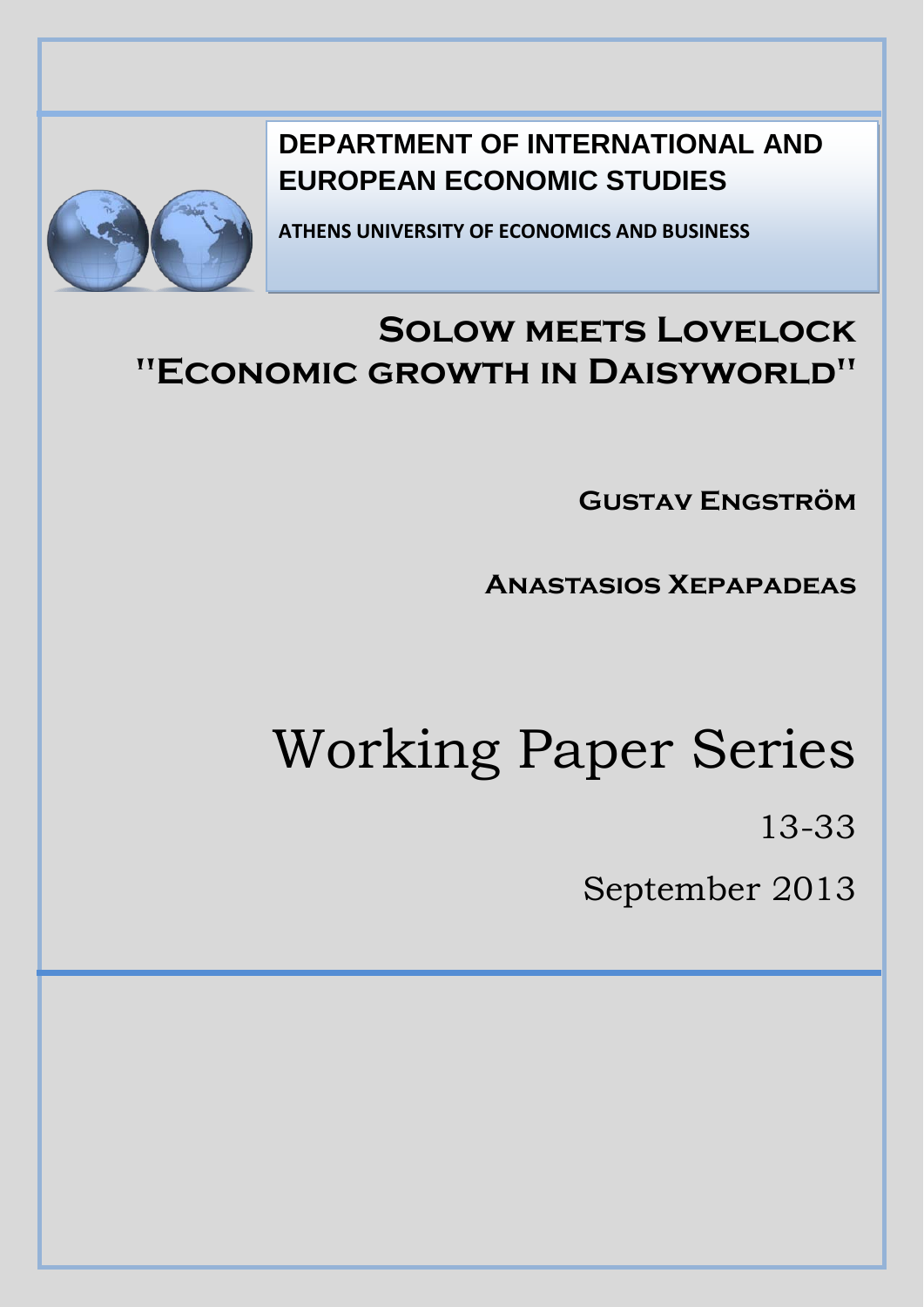

**DEPARTMENT OF INTERNATIONAL AND EUROPEAN ECONOMIC STUDIES**

**ATHENS UNIVERSITY OF ECONOMICS AND BUSINESS**

# **Solow meets Lovelock "Economic growth in Daisyworld"**

**Gustav Engström**

**Anastasios Xepapadeas**

# Working Paper Series

13-33

September 2013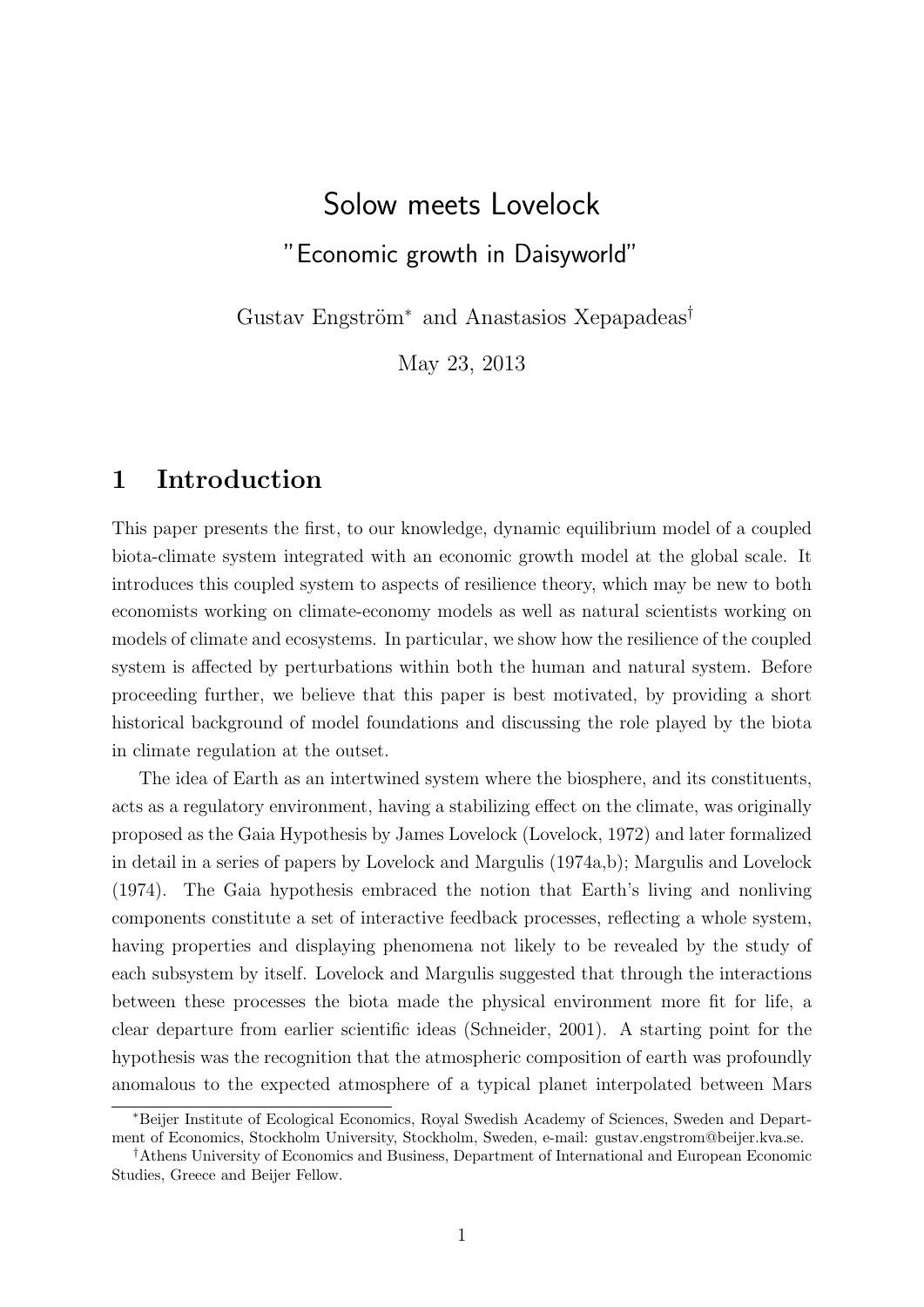# Solow meets Lovelock "Economic growth in Daisyworld"

Gustav Engström<sup>\*</sup> and Anastasios Xepapadeas<sup>†</sup>

May 23, 2013

### 1 Introduction

This paper presents the first, to our knowledge, dynamic equilibrium model of a coupled biota-climate system integrated with an economic growth model at the global scale. It introduces this coupled system to aspects of resilience theory, which may be new to both economists working on climate-economy models as well as natural scientists working on models of climate and ecosystems. In particular, we show how the resilience of the coupled system is affected by perturbations within both the human and natural system. Before proceeding further, we believe that this paper is best motivated, by providing a short historical background of model foundations and discussing the role played by the biota in climate regulation at the outset.

The idea of Earth as an intertwined system where the biosphere, and its constituents, acts as a regulatory environment, having a stabilizing effect on the climate, was originally proposed as the Gaia Hypothesis by James Lovelock (Lovelock, 1972) and later formalized in detail in a series of papers by Lovelock and Margulis (1974a,b); Margulis and Lovelock (1974). The Gaia hypothesis embraced the notion that Earth's living and nonliving components constitute a set of interactive feedback processes, reflecting a whole system, having properties and displaying phenomena not likely to be revealed by the study of each subsystem by itself. Lovelock and Margulis suggested that through the interactions between these processes the biota made the physical environment more fit for life, a clear departure from earlier scientific ideas (Schneider, 2001). A starting point for the hypothesis was the recognition that the atmospheric composition of earth was profoundly anomalous to the expected atmosphere of a typical planet interpolated between Mars

<sup>∗</sup>Beijer Institute of Ecological Economics, Royal Swedish Academy of Sciences, Sweden and Department of Economics, Stockholm University, Stockholm, Sweden, e-mail: gustav.engstrom@beijer.kva.se.

<sup>†</sup>Athens University of Economics and Business, Department of International and European Economic Studies, Greece and Beijer Fellow.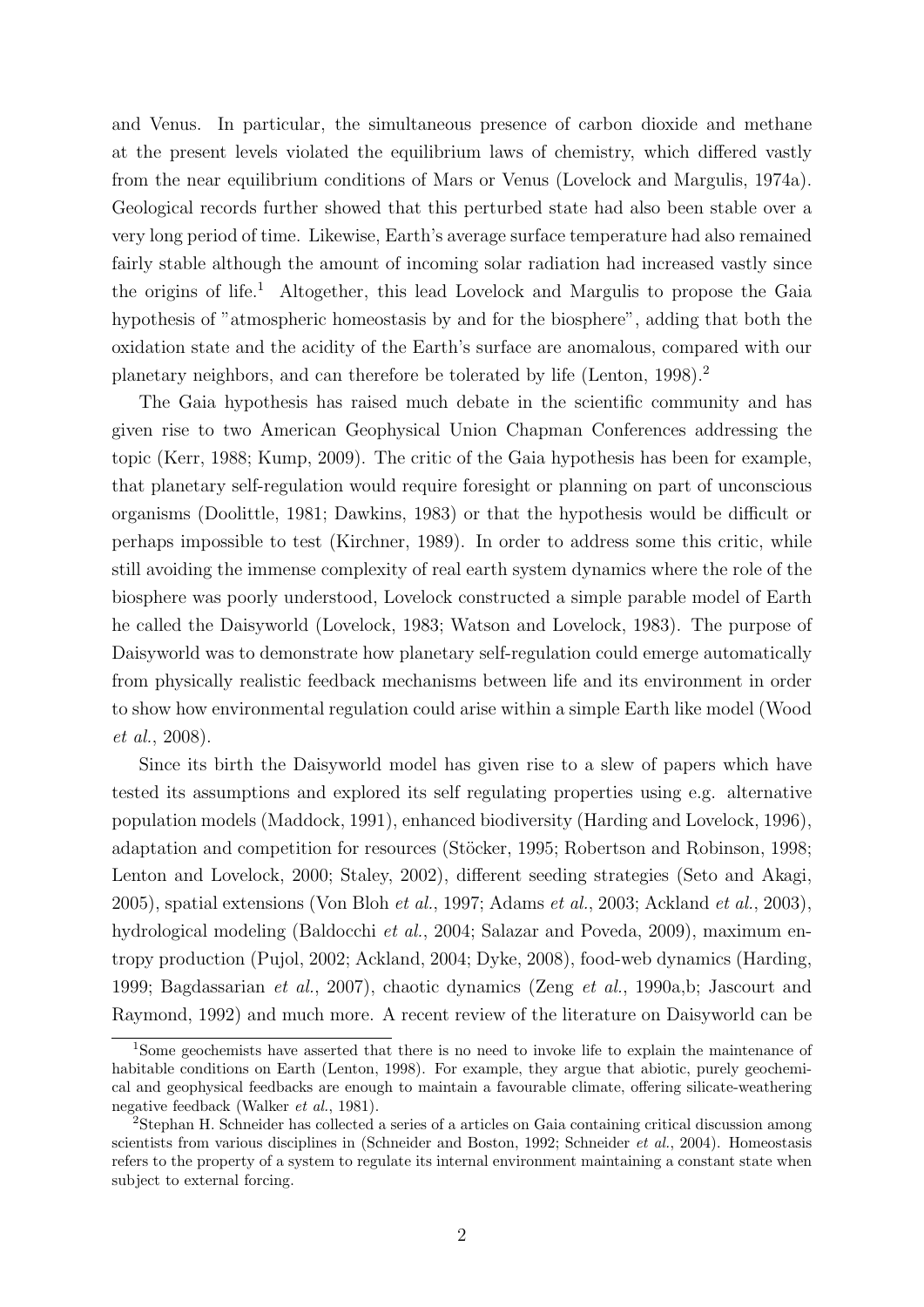and Venus. In particular, the simultaneous presence of carbon dioxide and methane at the present levels violated the equilibrium laws of chemistry, which differed vastly from the near equilibrium conditions of Mars or Venus (Lovelock and Margulis, 1974a). Geological records further showed that this perturbed state had also been stable over a very long period of time. Likewise, Earth's average surface temperature had also remained fairly stable although the amount of incoming solar radiation had increased vastly since the origins of life.<sup>1</sup> Altogether, this lead Lovelock and Margulis to propose the Gaia hypothesis of "atmospheric homeostasis by and for the biosphere", adding that both the oxidation state and the acidity of the Earth's surface are anomalous, compared with our planetary neighbors, and can therefore be tolerated by life (Lenton, 1998).<sup>2</sup>

The Gaia hypothesis has raised much debate in the scientific community and has given rise to two American Geophysical Union Chapman Conferences addressing the topic (Kerr, 1988; Kump, 2009). The critic of the Gaia hypothesis has been for example, that planetary self-regulation would require foresight or planning on part of unconscious organisms (Doolittle, 1981; Dawkins, 1983) or that the hypothesis would be difficult or perhaps impossible to test (Kirchner, 1989). In order to address some this critic, while still avoiding the immense complexity of real earth system dynamics where the role of the biosphere was poorly understood, Lovelock constructed a simple parable model of Earth he called the Daisyworld (Lovelock, 1983; Watson and Lovelock, 1983). The purpose of Daisyworld was to demonstrate how planetary self-regulation could emerge automatically from physically realistic feedback mechanisms between life and its environment in order to show how environmental regulation could arise within a simple Earth like model (Wood et al., 2008).

Since its birth the Daisyworld model has given rise to a slew of papers which have tested its assumptions and explored its self regulating properties using e.g. alternative population models (Maddock, 1991), enhanced biodiversity (Harding and Lovelock, 1996), adaptation and competition for resources (Stöcker, 1995; Robertson and Robinson, 1998; Lenton and Lovelock, 2000; Staley, 2002), different seeding strategies (Seto and Akagi, 2005), spatial extensions (Von Bloh et al., 1997; Adams et al., 2003; Ackland et al., 2003), hydrological modeling (Baldocchi et al., 2004; Salazar and Poveda, 2009), maximum entropy production (Pujol, 2002; Ackland, 2004; Dyke, 2008), food-web dynamics (Harding, 1999; Bagdassarian et al., 2007), chaotic dynamics (Zeng et al., 1990a,b; Jascourt and Raymond, 1992) and much more. A recent review of the literature on Daisyworld can be

<sup>1</sup>Some geochemists have asserted that there is no need to invoke life to explain the maintenance of habitable conditions on Earth (Lenton, 1998). For example, they argue that abiotic, purely geochemical and geophysical feedbacks are enough to maintain a favourable climate, offering silicate-weathering negative feedback (Walker et al., 1981).

<sup>2</sup>Stephan H. Schneider has collected a series of a articles on Gaia containing critical discussion among scientists from various disciplines in (Schneider and Boston, 1992; Schneider et al., 2004). Homeostasis refers to the property of a system to regulate its internal environment maintaining a constant state when subject to external forcing.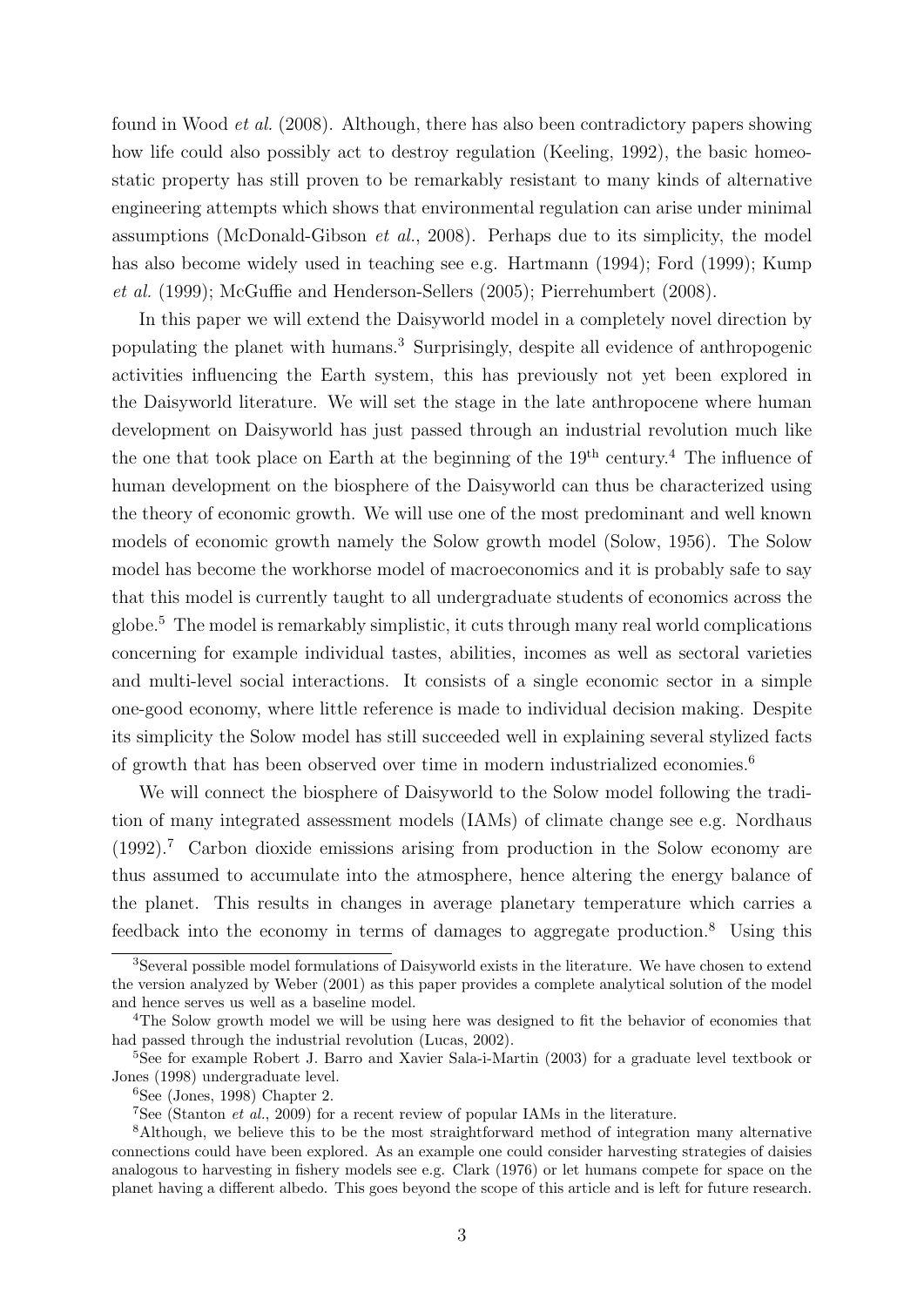found in Wood et al. (2008). Although, there has also been contradictory papers showing how life could also possibly act to destroy regulation (Keeling, 1992), the basic homeostatic property has still proven to be remarkably resistant to many kinds of alternative engineering attempts which shows that environmental regulation can arise under minimal assumptions (McDonald-Gibson et al., 2008). Perhaps due to its simplicity, the model has also become widely used in teaching see e.g. Hartmann (1994); Ford (1999); Kump et al. (1999); McGuffie and Henderson-Sellers (2005); Pierrehumbert (2008).

In this paper we will extend the Daisyworld model in a completely novel direction by populating the planet with humans.<sup>3</sup> Surprisingly, despite all evidence of anthropogenic activities influencing the Earth system, this has previously not yet been explored in the Daisyworld literature. We will set the stage in the late anthropocene where human development on Daisyworld has just passed through an industrial revolution much like the one that took place on Earth at the beginning of the  $19<sup>th</sup>$  century.<sup>4</sup> The influence of human development on the biosphere of the Daisyworld can thus be characterized using the theory of economic growth. We will use one of the most predominant and well known models of economic growth namely the Solow growth model (Solow, 1956). The Solow model has become the workhorse model of macroeconomics and it is probably safe to say that this model is currently taught to all undergraduate students of economics across the globe.<sup>5</sup> The model is remarkably simplistic, it cuts through many real world complications concerning for example individual tastes, abilities, incomes as well as sectoral varieties and multi-level social interactions. It consists of a single economic sector in a simple one-good economy, where little reference is made to individual decision making. Despite its simplicity the Solow model has still succeeded well in explaining several stylized facts of growth that has been observed over time in modern industrialized economies.<sup>6</sup>

We will connect the biosphere of Daisyworld to the Solow model following the tradition of many integrated assessment models (IAMs) of climate change see e.g. Nordhaus (1992).<sup>7</sup> Carbon dioxide emissions arising from production in the Solow economy are thus assumed to accumulate into the atmosphere, hence altering the energy balance of the planet. This results in changes in average planetary temperature which carries a feedback into the economy in terms of damages to aggregate production.<sup>8</sup> Using this

<sup>&</sup>lt;sup>3</sup>Several possible model formulations of Daisyworld exists in the literature. We have chosen to extend the version analyzed by Weber (2001) as this paper provides a complete analytical solution of the model and hence serves us well as a baseline model.

<sup>&</sup>lt;sup>4</sup>The Solow growth model we will be using here was designed to fit the behavior of economies that had passed through the industrial revolution (Lucas, 2002).

<sup>&</sup>lt;sup>5</sup>See for example Robert J. Barro and Xavier Sala-i-Martin (2003) for a graduate level textbook or Jones (1998) undergraduate level.

 $6$ See (Jones, 1998) Chapter 2.

<sup>&</sup>lt;sup>7</sup>See (Stanton *et al.*, 2009) for a recent review of popular IAMs in the literature.

<sup>8</sup>Although, we believe this to be the most straightforward method of integration many alternative connections could have been explored. As an example one could consider harvesting strategies of daisies analogous to harvesting in fishery models see e.g. Clark (1976) or let humans compete for space on the planet having a different albedo. This goes beyond the scope of this article and is left for future research.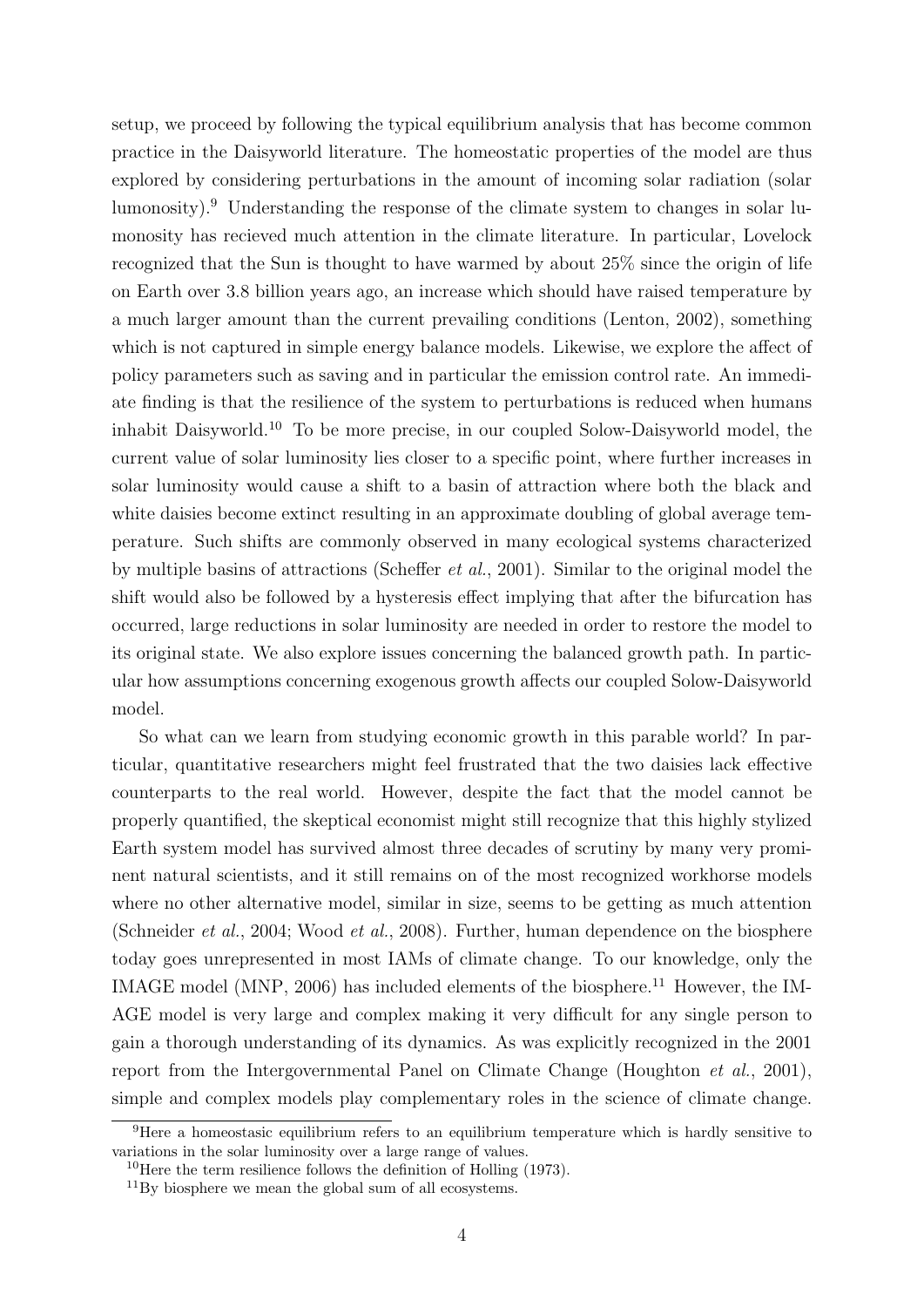setup, we proceed by following the typical equilibrium analysis that has become common practice in the Daisyworld literature. The homeostatic properties of the model are thus explored by considering perturbations in the amount of incoming solar radiation (solar lumonosity).<sup>9</sup> Understanding the response of the climate system to changes in solar lumonosity has recieved much attention in the climate literature. In particular, Lovelock recognized that the Sun is thought to have warmed by about 25% since the origin of life on Earth over 3.8 billion years ago, an increase which should have raised temperature by a much larger amount than the current prevailing conditions (Lenton, 2002), something which is not captured in simple energy balance models. Likewise, we explore the affect of policy parameters such as saving and in particular the emission control rate. An immediate finding is that the resilience of the system to perturbations is reduced when humans inhabit Daisyworld.<sup>10</sup> To be more precise, in our coupled Solow-Daisyworld model, the current value of solar luminosity lies closer to a specific point, where further increases in solar luminosity would cause a shift to a basin of attraction where both the black and white daisies become extinct resulting in an approximate doubling of global average temperature. Such shifts are commonly observed in many ecological systems characterized by multiple basins of attractions (Scheffer et al., 2001). Similar to the original model the shift would also be followed by a hysteresis effect implying that after the bifurcation has occurred, large reductions in solar luminosity are needed in order to restore the model to its original state. We also explore issues concerning the balanced growth path. In particular how assumptions concerning exogenous growth affects our coupled Solow-Daisyworld model.

So what can we learn from studying economic growth in this parable world? In particular, quantitative researchers might feel frustrated that the two daisies lack effective counterparts to the real world. However, despite the fact that the model cannot be properly quantified, the skeptical economist might still recognize that this highly stylized Earth system model has survived almost three decades of scrutiny by many very prominent natural scientists, and it still remains on of the most recognized workhorse models where no other alternative model, similar in size, seems to be getting as much attention (Schneider et al., 2004; Wood et al., 2008). Further, human dependence on the biosphere today goes unrepresented in most IAMs of climate change. To our knowledge, only the IMAGE model (MNP, 2006) has included elements of the biosphere.<sup>11</sup> However, the IM-AGE model is very large and complex making it very difficult for any single person to gain a thorough understanding of its dynamics. As was explicitly recognized in the 2001 report from the Intergovernmental Panel on Climate Change (Houghton et al., 2001), simple and complex models play complementary roles in the science of climate change.

<sup>&</sup>lt;sup>9</sup>Here a homeostasic equilibrium refers to an equilibrium temperature which is hardly sensitive to variations in the solar luminosity over a large range of values.

<sup>&</sup>lt;sup>10</sup>Here the term resilience follows the definition of Holling  $(1973)$ .

 $11\,\text{By}$  biosphere we mean the global sum of all ecosystems.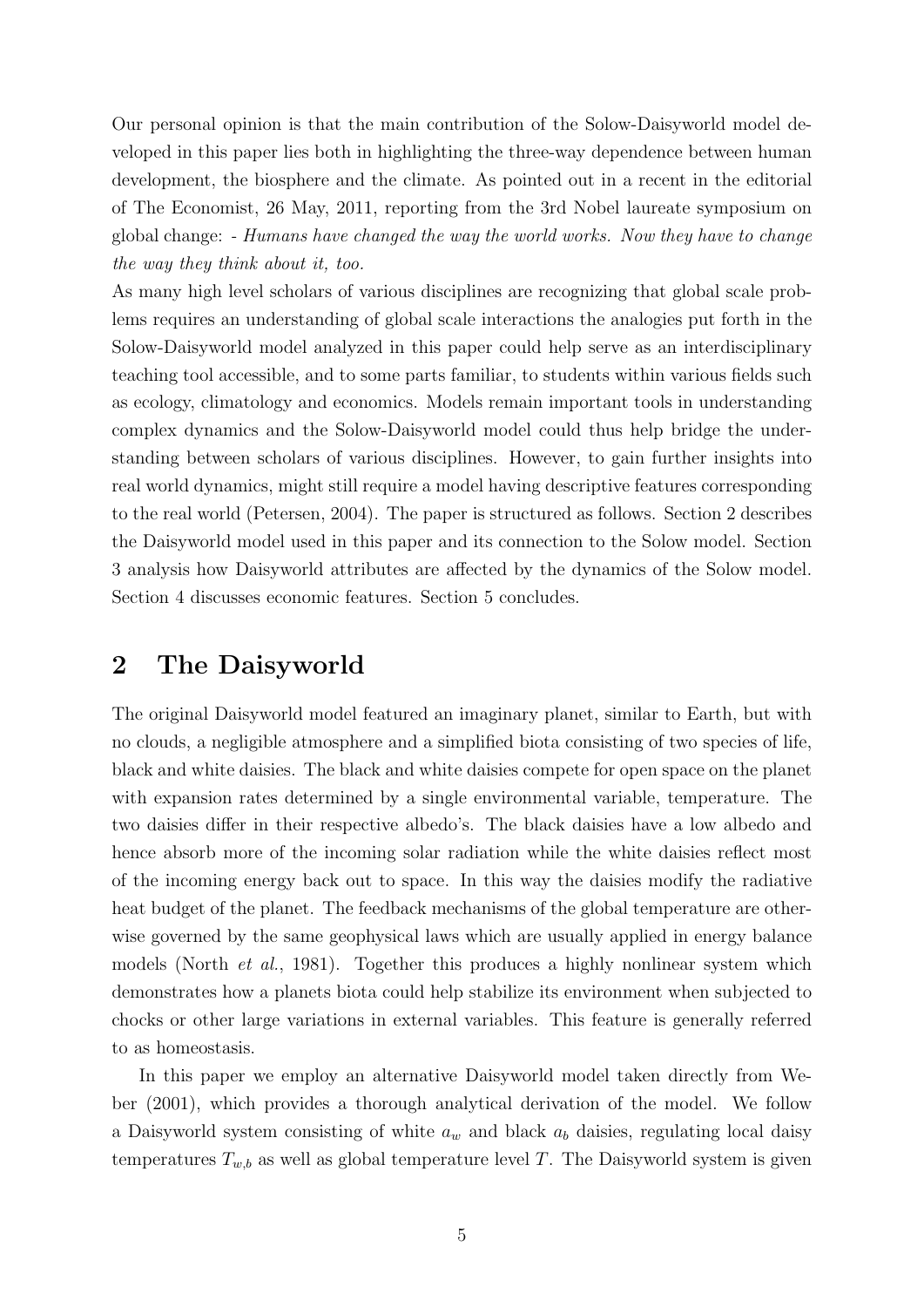Our personal opinion is that the main contribution of the Solow-Daisyworld model developed in this paper lies both in highlighting the three-way dependence between human development, the biosphere and the climate. As pointed out in a recent in the editorial of The Economist, 26 May, 2011, reporting from the 3rd Nobel laureate symposium on global change: - Humans have changed the way the world works. Now they have to change the way they think about it, too.

As many high level scholars of various disciplines are recognizing that global scale problems requires an understanding of global scale interactions the analogies put forth in the Solow-Daisyworld model analyzed in this paper could help serve as an interdisciplinary teaching tool accessible, and to some parts familiar, to students within various fields such as ecology, climatology and economics. Models remain important tools in understanding complex dynamics and the Solow-Daisyworld model could thus help bridge the understanding between scholars of various disciplines. However, to gain further insights into real world dynamics, might still require a model having descriptive features corresponding to the real world (Petersen, 2004). The paper is structured as follows. Section 2 describes the Daisyworld model used in this paper and its connection to the Solow model. Section 3 analysis how Daisyworld attributes are affected by the dynamics of the Solow model. Section 4 discusses economic features. Section 5 concludes.

### 2 The Daisyworld

The original Daisyworld model featured an imaginary planet, similar to Earth, but with no clouds, a negligible atmosphere and a simplified biota consisting of two species of life, black and white daisies. The black and white daisies compete for open space on the planet with expansion rates determined by a single environmental variable, temperature. The two daisies differ in their respective albedo's. The black daisies have a low albedo and hence absorb more of the incoming solar radiation while the white daisies reflect most of the incoming energy back out to space. In this way the daisies modify the radiative heat budget of the planet. The feedback mechanisms of the global temperature are otherwise governed by the same geophysical laws which are usually applied in energy balance models (North et al., 1981). Together this produces a highly nonlinear system which demonstrates how a planets biota could help stabilize its environment when subjected to chocks or other large variations in external variables. This feature is generally referred to as homeostasis.

In this paper we employ an alternative Daisyworld model taken directly from Weber (2001), which provides a thorough analytical derivation of the model. We follow a Daisyworld system consisting of white  $a_w$  and black  $a_b$  daisies, regulating local daisy temperatures  $T_{w,b}$  as well as global temperature level T. The Daisyworld system is given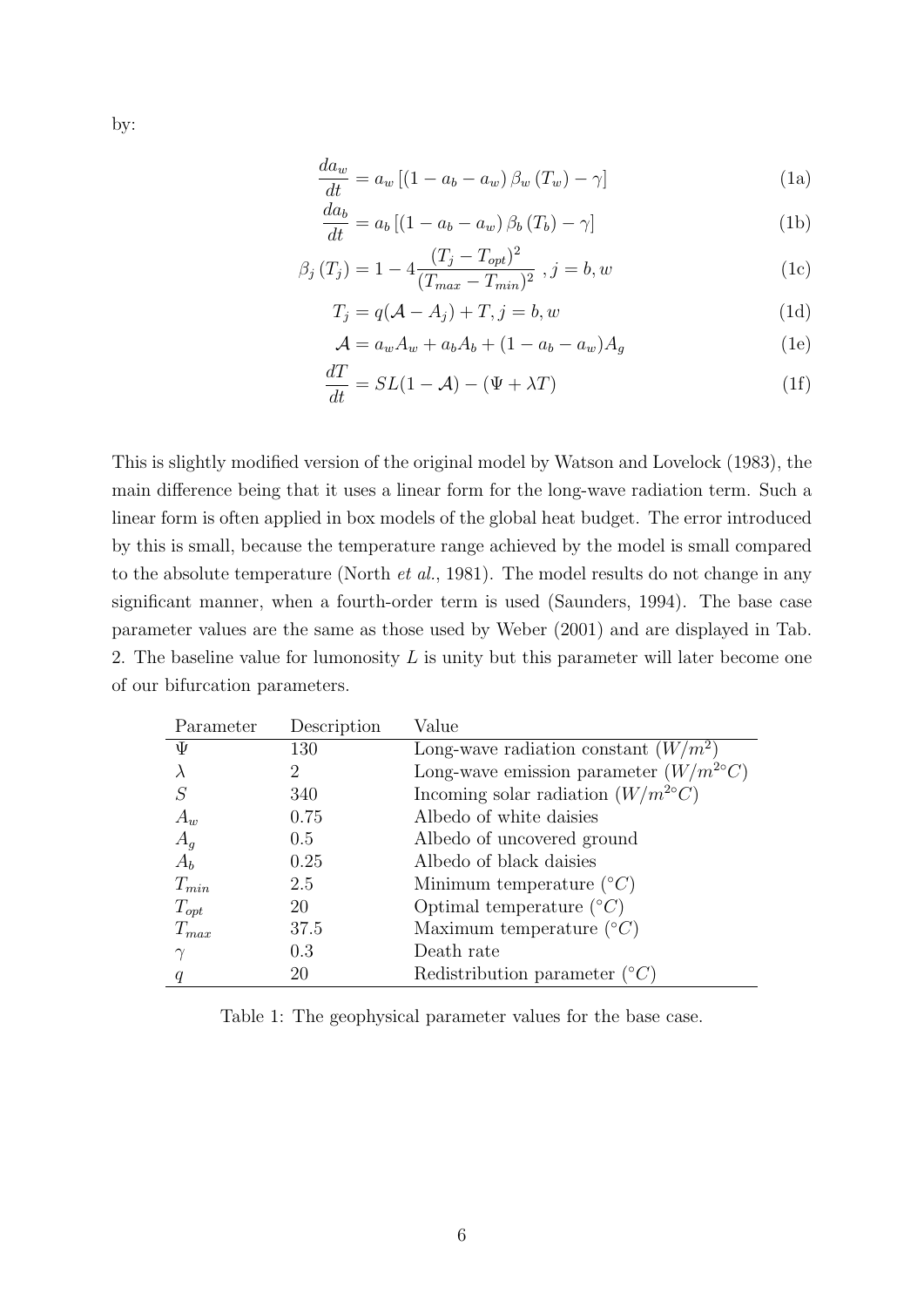by:

$$
\frac{da_w}{dt} = a_w \left[ \left( 1 - a_b - a_w \right) \beta_w \left( T_w \right) - \gamma \right] \tag{1a}
$$

$$
\frac{da_b}{dt} = a_b \left[ \left( 1 - a_b - a_w \right) \beta_b \left( T_b \right) - \gamma \right] \tag{1b}
$$

$$
\beta_j(T_j) = 1 - 4 \frac{(T_j - T_{opt})^2}{(T_{max} - T_{min})^2}, j = b, w
$$
\n(1c)

$$
T_j = q(\mathcal{A} - A_j) + T, j = b, w \tag{1d}
$$

$$
\mathcal{A} = a_w A_w + a_b A_b + (1 - a_b - a_w) A_g \tag{1e}
$$

$$
\frac{dI}{dt} = SL(1 - \mathcal{A}) - (\Psi + \lambda T) \tag{1f}
$$

This is slightly modified version of the original model by Watson and Lovelock (1983), the main difference being that it uses a linear form for the long-wave radiation term. Such a linear form is often applied in box models of the global heat budget. The error introduced by this is small, because the temperature range achieved by the model is small compared to the absolute temperature (North *et al.*, 1981). The model results do not change in any significant manner, when a fourth-order term is used (Saunders, 1994). The base case parameter values are the same as those used by Weber (2001) and are displayed in Tab. 2. The baseline value for lumonosity  $L$  is unity but this parameter will later become one of our bifurcation parameters.

| Parameter | Description    | Value                                          |
|-----------|----------------|------------------------------------------------|
| Ψ         | 130            | Long-wave radiation constant $(W/m^2)$         |
|           | $\overline{2}$ | Long-wave emission parameter $(W/m^{2\circ}C)$ |
|           | 340            | Incoming solar radiation $(W/m^{2\circ}C)$     |
| $A_w$     | 0.75           | Albedo of white daisies                        |
| $A_g$     | 0.5            | Albedo of uncovered ground                     |
| $A_b$     | 0.25           | Albedo of black daisies                        |
| $T_{min}$ | 2.5            | Minimum temperature $({}^{\circ}C)$            |
| $T_{opt}$ | 20             | Optimal temperature $({}^{\circ}C)$            |
| $T_{max}$ | 37.5           | Maximum temperature $({}^{\circ}C)$            |
| $\gamma$  | 0.3            | Death rate                                     |
|           | 20             | Redistribution parameter $({}^{\circ}C)$       |

Table 1: The geophysical parameter values for the base case.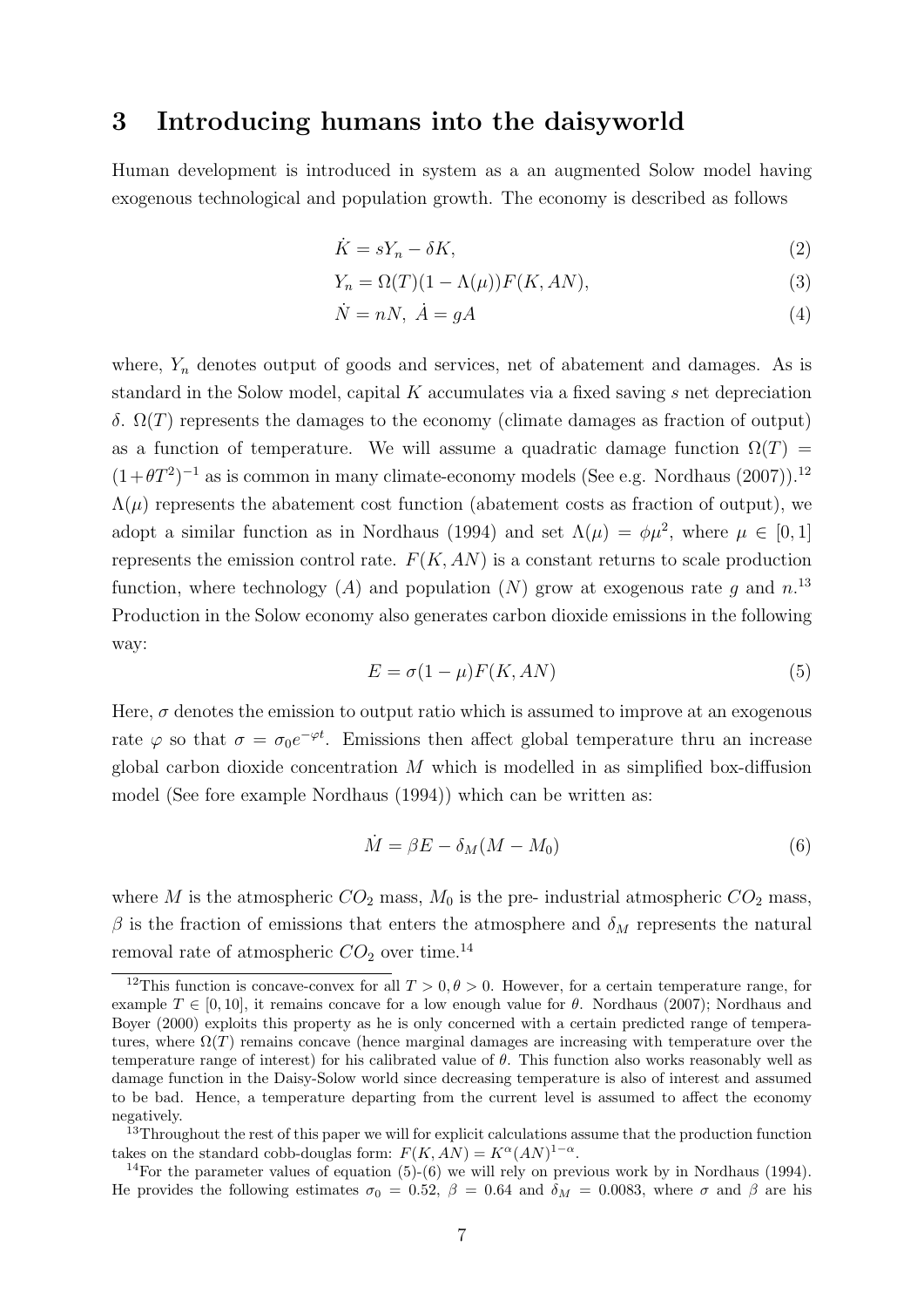### 3 Introducing humans into the daisyworld

Human development is introduced in system as a an augmented Solow model having exogenous technological and population growth. The economy is described as follows

$$
\dot{K} = sY_n - \delta K,\tag{2}
$$

$$
Y_n = \Omega(T)(1 - \Lambda(\mu))F(K, AN),\tag{3}
$$

$$
\dot{N} = nN, \ \dot{A} = gA \tag{4}
$$

where,  $Y_n$  denotes output of goods and services, net of abatement and damages. As is standard in the Solow model, capital K accumulates via a fixed saving s net depreciation δ. Ω(T) represents the damages to the economy (climate damages as fraction of output) as a function of temperature. We will assume a quadratic damage function  $\Omega(T)$  =  $(1+\theta T^2)^{-1}$  as is common in many climate-economy models (See e.g. Nordhaus (2007)).<sup>12</sup>  $\Lambda(\mu)$  represents the abatement cost function (abatement costs as fraction of output), we adopt a similar function as in Nordhaus (1994) and set  $\Lambda(\mu) = \phi \mu^2$ , where  $\mu \in [0, 1]$ represents the emission control rate.  $F(K, AN)$  is a constant returns to scale production function, where technology (A) and population (N) grow at exogenous rate g and  $n^{13}$ Production in the Solow economy also generates carbon dioxide emissions in the following way:

$$
E = \sigma(1 - \mu)F(K, AN)
$$
\n(5)

Here,  $\sigma$  denotes the emission to output ratio which is assumed to improve at an exogenous rate  $\varphi$  so that  $\sigma = \sigma_0 e^{-\varphi t}$ . Emissions then affect global temperature thru an increase global carbon dioxide concentration  $M$  which is modelled in as simplified box-diffusion model (See fore example Nordhaus (1994)) which can be written as:

$$
\dot{M} = \beta E - \delta_M (M - M_0) \tag{6}
$$

where M is the atmospheric  $CO_2$  mass,  $M_0$  is the pre-industrial atmospheric  $CO_2$  mass, β is the fraction of emissions that enters the atmosphere and  $δ_M$  represents the natural removal rate of atmospheric  $CO<sub>2</sub>$  over time.<sup>14</sup>

<sup>&</sup>lt;sup>12</sup>This function is concave-convex for all  $T > 0, \theta > 0$ . However, for a certain temperature range, for example  $T \in [0, 10]$ , it remains concave for a low enough value for  $\theta$ . Nordhaus (2007); Nordhaus and Boyer (2000) exploits this property as he is only concerned with a certain predicted range of temperatures, where  $\Omega(T)$  remains concave (hence marginal damages are increasing with temperature over the temperature range of interest) for his calibrated value of  $\theta$ . This function also works reasonably well as damage function in the Daisy-Solow world since decreasing temperature is also of interest and assumed to be bad. Hence, a temperature departing from the current level is assumed to affect the economy negatively.

 $^{13}$ Throughout the rest of this paper we will for explicit calculations assume that the production function takes on the standard cobb-douglas form:  $F(K, AN) = K^{\alpha}(AN)^{1-\alpha}$ .

<sup>&</sup>lt;sup>14</sup>For the parameter values of equation  $(5)-(6)$  we will rely on previous work by in Nordhaus (1994). He provides the following estimates  $\sigma_0 = 0.52$ ,  $\beta = 0.64$  and  $\delta_M = 0.0083$ , where  $\sigma$  and  $\beta$  are his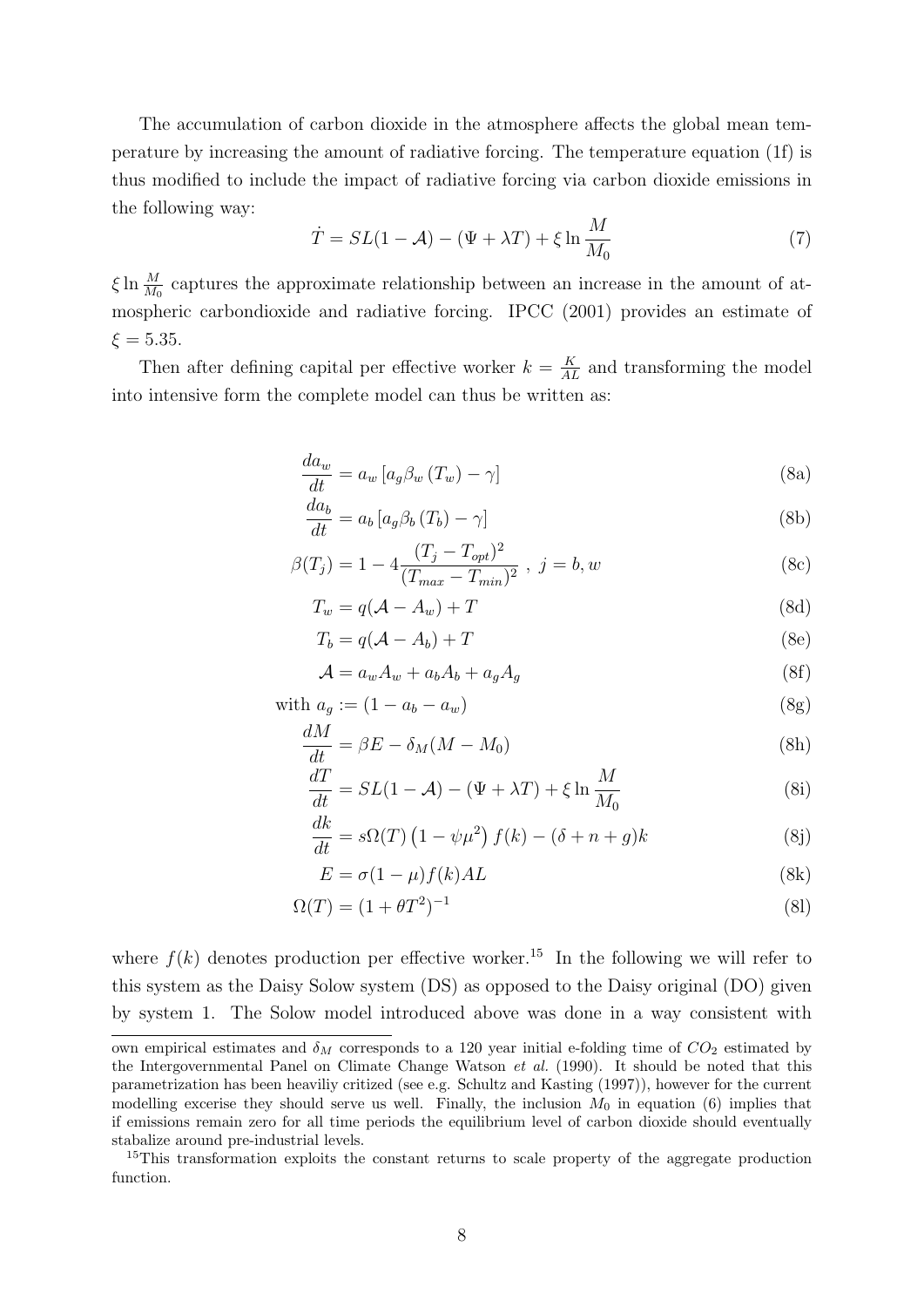The accumulation of carbon dioxide in the atmosphere affects the global mean temperature by increasing the amount of radiative forcing. The temperature equation (1f) is thus modified to include the impact of radiative forcing via carbon dioxide emissions in the following way:

$$
\dot{T} = SL(1 - \mathcal{A}) - (\Psi + \lambda T) + \xi \ln \frac{M}{M_0}
$$
\n<sup>(7)</sup>

 $\xi \ln \frac{M}{M_0}$  captures the approximate relationship between an increase in the amount of atmospheric carbondioxide and radiative forcing. IPCC (2001) provides an estimate of  $\xi = 5.35$ .

Then after defining capital per effective worker  $k = \frac{K}{AL}$  and transforming the model into intensive form the complete model can thus be written as:

$$
\frac{da_w}{dt} = a_w \left[ a_g \beta_w \left( T_w \right) - \gamma \right] \tag{8a}
$$

$$
\frac{da_b}{dt} = a_b \left[ a_g \beta_b \left( T_b \right) - \gamma \right] \tag{8b}
$$

$$
\beta(T_j) = 1 - 4 \frac{(T_j - T_{opt})^2}{(T_{max} - T_{min})^2}, \ j = b, w \tag{8c}
$$

$$
T_w = q(\mathcal{A} - A_w) + T \tag{8d}
$$

$$
T_b = q(\mathcal{A} - A_b) + T \tag{8e}
$$

$$
\mathcal{A} = a_w A_w + a_b A_b + a_g A_g \tag{8f}
$$

with 
$$
a_g := (1 - a_b - a_w) \tag{8g}
$$

$$
\frac{dM}{dt} = \beta E - \delta_M (M - M_0) \tag{8h}
$$

$$
\frac{dT}{dt} = SL(1 - \mathcal{A}) - (\Psi + \lambda T) + \xi \ln \frac{M}{M_0}
$$
 (8i)

$$
\frac{dk}{dt} = s\Omega(T) \left(1 - \psi\mu^2\right) f(k) - (\delta + n + g)k \tag{8j}
$$

$$
E = \sigma (1 - \mu) f(k) AL \tag{8k}
$$

$$
\Omega(T) = (1 + \theta T^2)^{-1} \tag{81}
$$

where  $f(k)$  denotes production per effective worker.<sup>15</sup> In the following we will refer to this system as the Daisy Solow system (DS) as opposed to the Daisy original (DO) given by system 1. The Solow model introduced above was done in a way consistent with

own empirical estimates and  $\delta_M$  corresponds to a 120 year initial e-folding time of  $CO_2$  estimated by the Intergovernmental Panel on Climate Change Watson et al. (1990). It should be noted that this parametrization has been heaviliy critized (see e.g. Schultz and Kasting (1997)), however for the current modelling excerise they should serve us well. Finally, the inclusion  $M_0$  in equation (6) implies that if emissions remain zero for all time periods the equilibrium level of carbon dioxide should eventually stabalize around pre-industrial levels.

<sup>&</sup>lt;sup>15</sup>This transformation exploits the constant returns to scale property of the aggregate production function.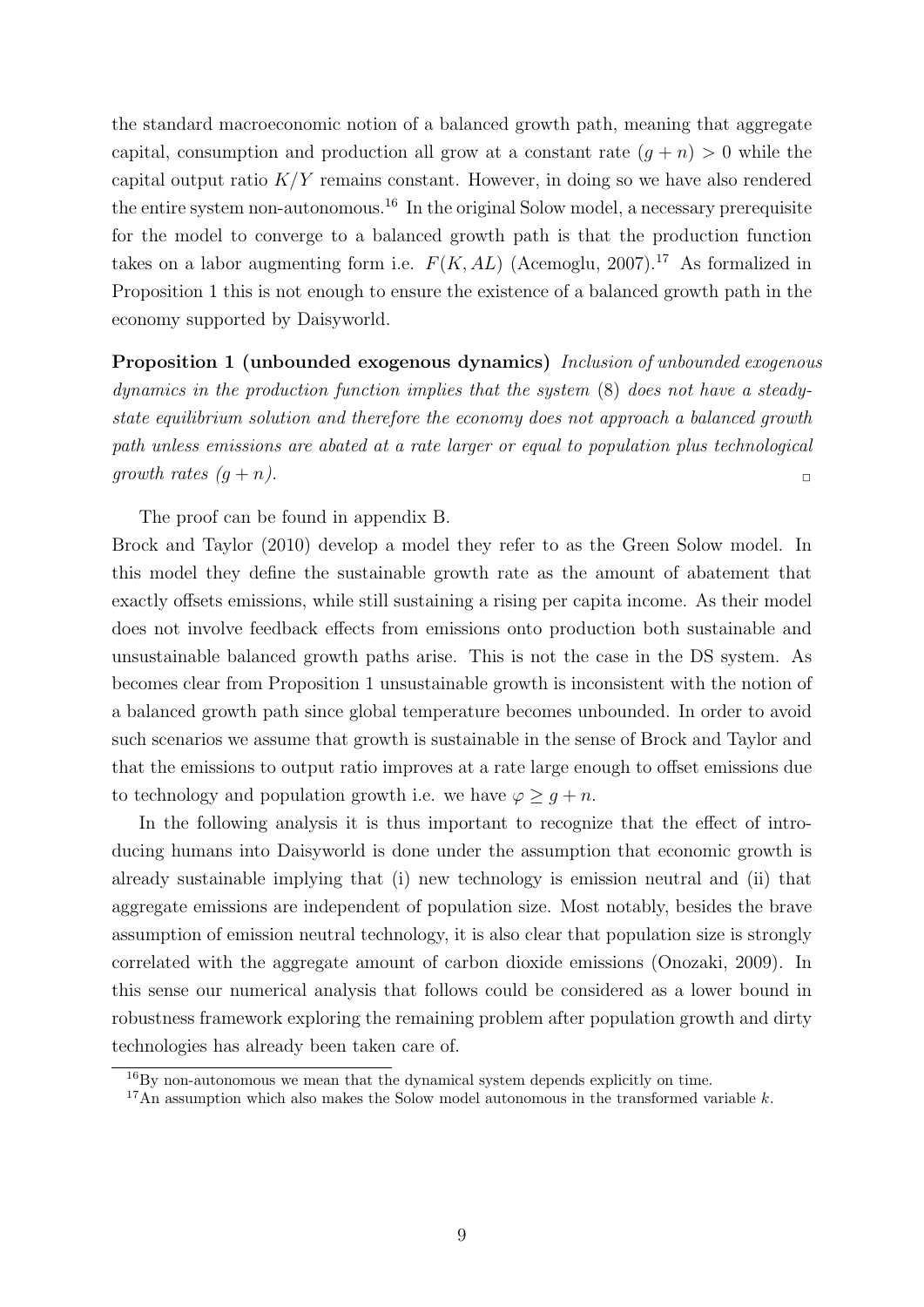the standard macroeconomic notion of a balanced growth path, meaning that aggregate capital, consumption and production all grow at a constant rate  $(q + n) > 0$  while the capital output ratio  $K/Y$  remains constant. However, in doing so we have also rendered the entire system non-autonomous.<sup>16</sup> In the original Solow model, a necessary prerequisite for the model to converge to a balanced growth path is that the production function takes on a labor augmenting form i.e.  $F(K, AL)$  (Acemoglu, 2007).<sup>17</sup> As formalized in Proposition 1 this is not enough to ensure the existence of a balanced growth path in the economy supported by Daisyworld.

Proposition 1 (unbounded exogenous dynamics) Inclusion of unbounded exogenous dynamics in the production function implies that the system (8) does not have a steadystate equilibrium solution and therefore the economy does not approach a balanced growth path unless emissions are abated at a rate larger or equal to population plus technological growth rates  $(g + n)$ .

The proof can be found in appendix B.

Brock and Taylor (2010) develop a model they refer to as the Green Solow model. In this model they define the sustainable growth rate as the amount of abatement that exactly offsets emissions, while still sustaining a rising per capita income. As their model does not involve feedback effects from emissions onto production both sustainable and unsustainable balanced growth paths arise. This is not the case in the DS system. As becomes clear from Proposition 1 unsustainable growth is inconsistent with the notion of a balanced growth path since global temperature becomes unbounded. In order to avoid such scenarios we assume that growth is sustainable in the sense of Brock and Taylor and that the emissions to output ratio improves at a rate large enough to offset emissions due to technology and population growth i.e. we have  $\varphi \geq g + n$ .

In the following analysis it is thus important to recognize that the effect of introducing humans into Daisyworld is done under the assumption that economic growth is already sustainable implying that (i) new technology is emission neutral and (ii) that aggregate emissions are independent of population size. Most notably, besides the brave assumption of emission neutral technology, it is also clear that population size is strongly correlated with the aggregate amount of carbon dioxide emissions (Onozaki, 2009). In this sense our numerical analysis that follows could be considered as a lower bound in robustness framework exploring the remaining problem after population growth and dirty technologies has already been taken care of.

 $16$ By non-autonomous we mean that the dynamical system depends explicitly on time.

<sup>&</sup>lt;sup>17</sup>An assumption which also makes the Solow model autonomous in the transformed variable k.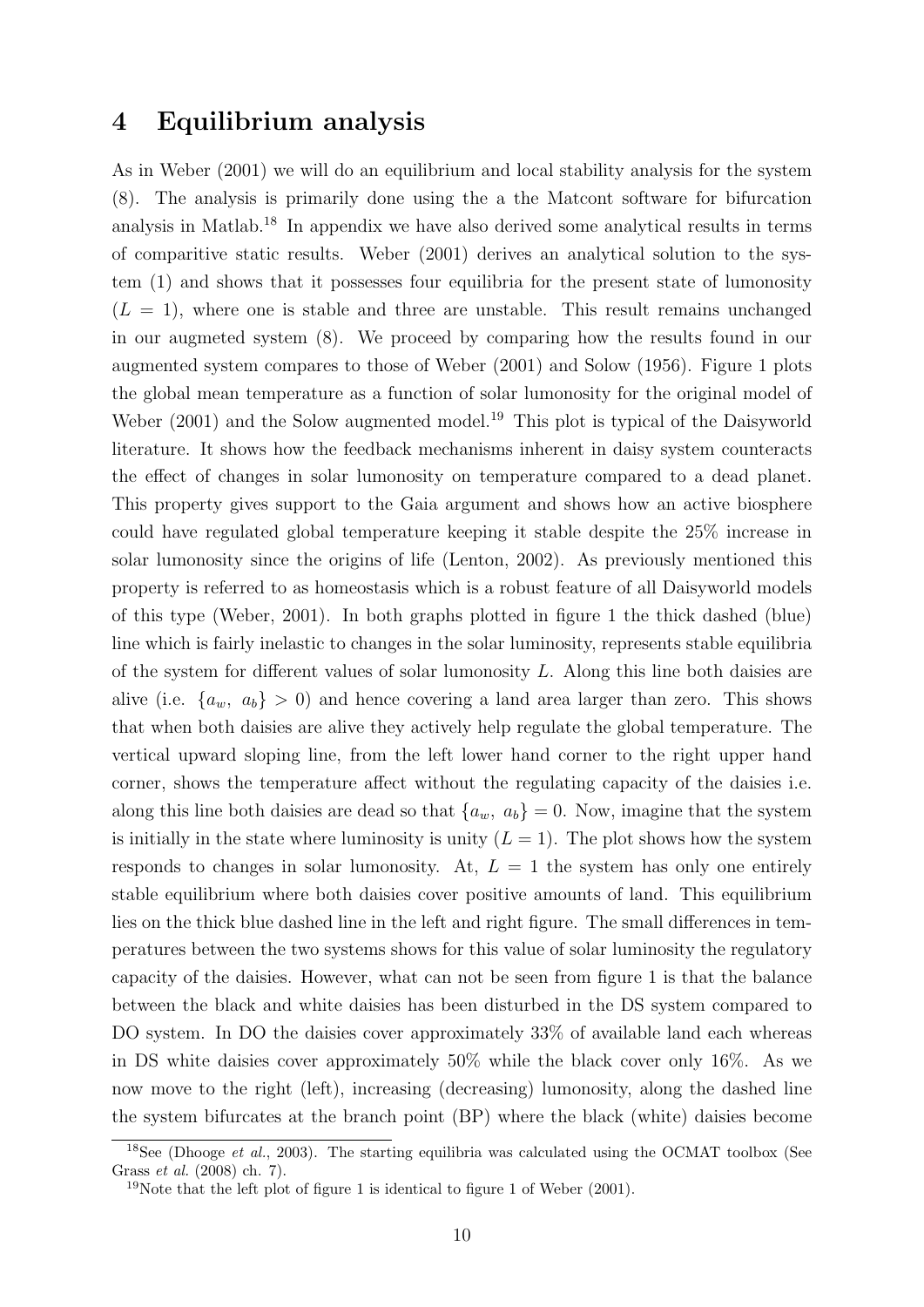### 4 Equilibrium analysis

As in Weber (2001) we will do an equilibrium and local stability analysis for the system (8). The analysis is primarily done using the a the Matcont software for bifurcation analysis in Matlab.<sup>18</sup> In appendix we have also derived some analytical results in terms of comparitive static results. Weber (2001) derives an analytical solution to the system (1) and shows that it possesses four equilibria for the present state of lumonosity  $(L = 1)$ , where one is stable and three are unstable. This result remains unchanged in our augmeted system (8). We proceed by comparing how the results found in our augmented system compares to those of Weber (2001) and Solow (1956). Figure 1 plots the global mean temperature as a function of solar lumonosity for the original model of Weber (2001) and the Solow augmented model.<sup>19</sup> This plot is typical of the Daisyworld literature. It shows how the feedback mechanisms inherent in daisy system counteracts the effect of changes in solar lumonosity on temperature compared to a dead planet. This property gives support to the Gaia argument and shows how an active biosphere could have regulated global temperature keeping it stable despite the 25% increase in solar lumonosity since the origins of life (Lenton, 2002). As previously mentioned this property is referred to as homeostasis which is a robust feature of all Daisyworld models of this type (Weber, 2001). In both graphs plotted in figure 1 the thick dashed (blue) line which is fairly inelastic to changes in the solar luminosity, represents stable equilibria of the system for different values of solar lumonosity L. Along this line both daisies are alive (i.e.  $\{a_w, a_b\} > 0$ ) and hence covering a land area larger than zero. This shows that when both daisies are alive they actively help regulate the global temperature. The vertical upward sloping line, from the left lower hand corner to the right upper hand corner, shows the temperature affect without the regulating capacity of the daisies i.e. along this line both daisies are dead so that  $\{a_w, a_b\} = 0$ . Now, imagine that the system is initially in the state where luminosity is unity  $(L = 1)$ . The plot shows how the system responds to changes in solar lumonosity. At,  $L = 1$  the system has only one entirely stable equilibrium where both daisies cover positive amounts of land. This equilibrium lies on the thick blue dashed line in the left and right figure. The small differences in temperatures between the two systems shows for this value of solar luminosity the regulatory capacity of the daisies. However, what can not be seen from figure 1 is that the balance between the black and white daisies has been disturbed in the DS system compared to DO system. In DO the daisies cover approximately 33% of available land each whereas in DS white daisies cover approximately 50% while the black cover only 16%. As we now move to the right (left), increasing (decreasing) lumonosity, along the dashed line the system bifurcates at the branch point (BP) where the black (white) daisies become

<sup>&</sup>lt;sup>18</sup>See (Dhooge *et al.*, 2003). The starting equilibria was calculated using the OCMAT toolbox (See Grass et al. (2008) ch. 7).

<sup>19</sup>Note that the left plot of figure 1 is identical to figure 1 of Weber (2001).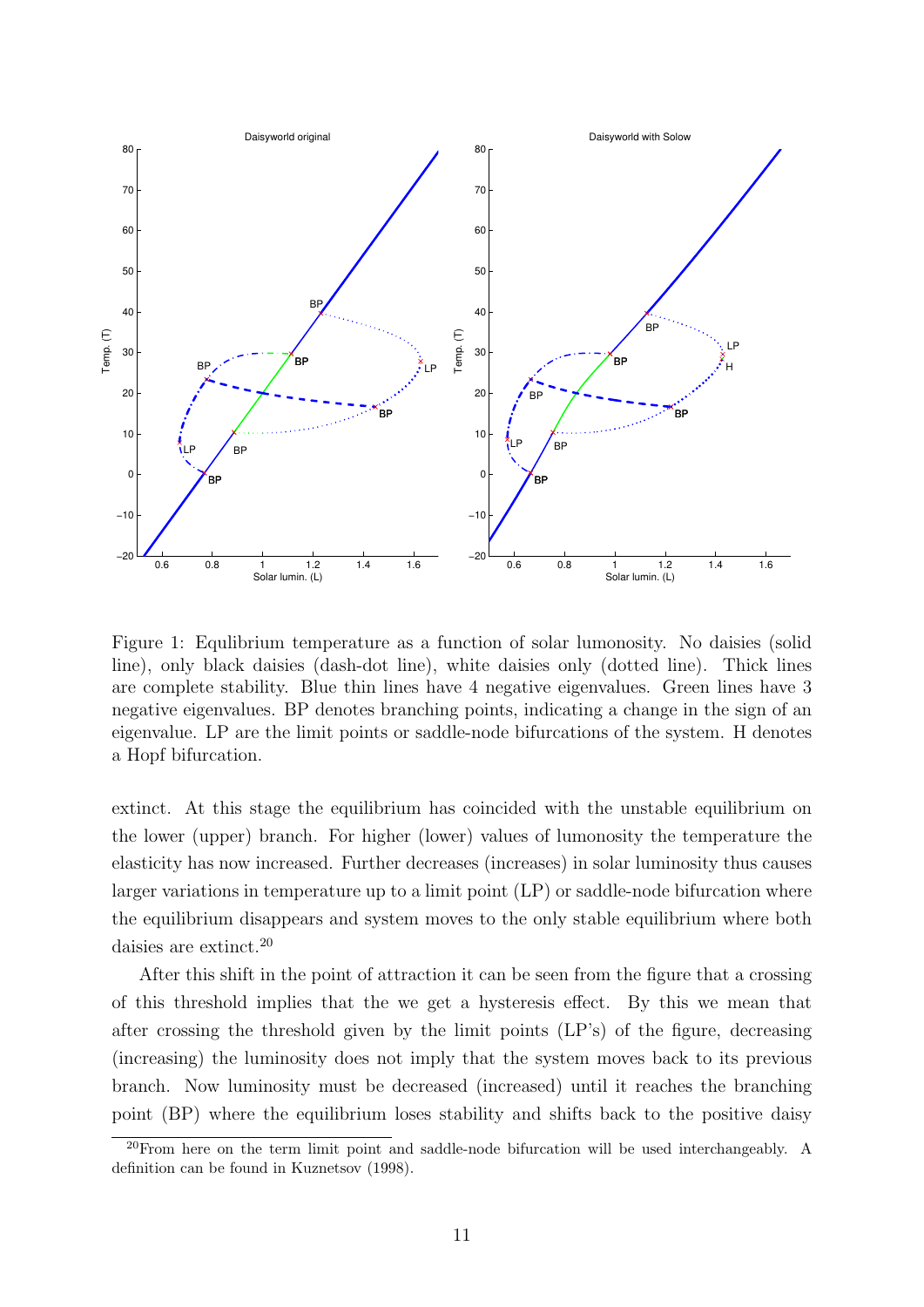

Figure 1: Equlibrium temperature as a function of solar lumonosity. No daisies (solid line), only black daisies (dash-dot line), white daisies only (dotted line). Thick lines are complete stability. Blue thin lines have 4 negative eigenvalues. Green lines have 3 negative eigenvalues. BP denotes branching points, indicating a change in the sign of an eigenvalue. LP are the limit points or saddle-node bifurcations of the system. H denotes a Hopf bifurcation.

extinct. At this stage the equilibrium has coincided with the unstable equilibrium on the lower (upper) branch. For higher (lower) values of lumonosity the temperature the elasticity has now increased. Further decreases (increases) in solar luminosity thus causes larger variations in temperature up to a limit point (LP) or saddle-node bifurcation where the equilibrium disappears and system moves to the only stable equilibrium where both daisies are extinct.<sup>20</sup>

After this shift in the point of attraction it can be seen from the figure that a crossing of this threshold implies that the we get a hysteresis effect. By this we mean that after crossing the threshold given by the limit points (LP's) of the figure, decreasing (increasing) the luminosity does not imply that the system moves back to its previous branch. Now luminosity must be decreased (increased) until it reaches the branching point (BP) where the equilibrium loses stability and shifts back to the positive daisy

<sup>&</sup>lt;sup>20</sup>From here on the term limit point and saddle-node bifurcation will be used interchangeably. A definition can be found in Kuznetsov (1998).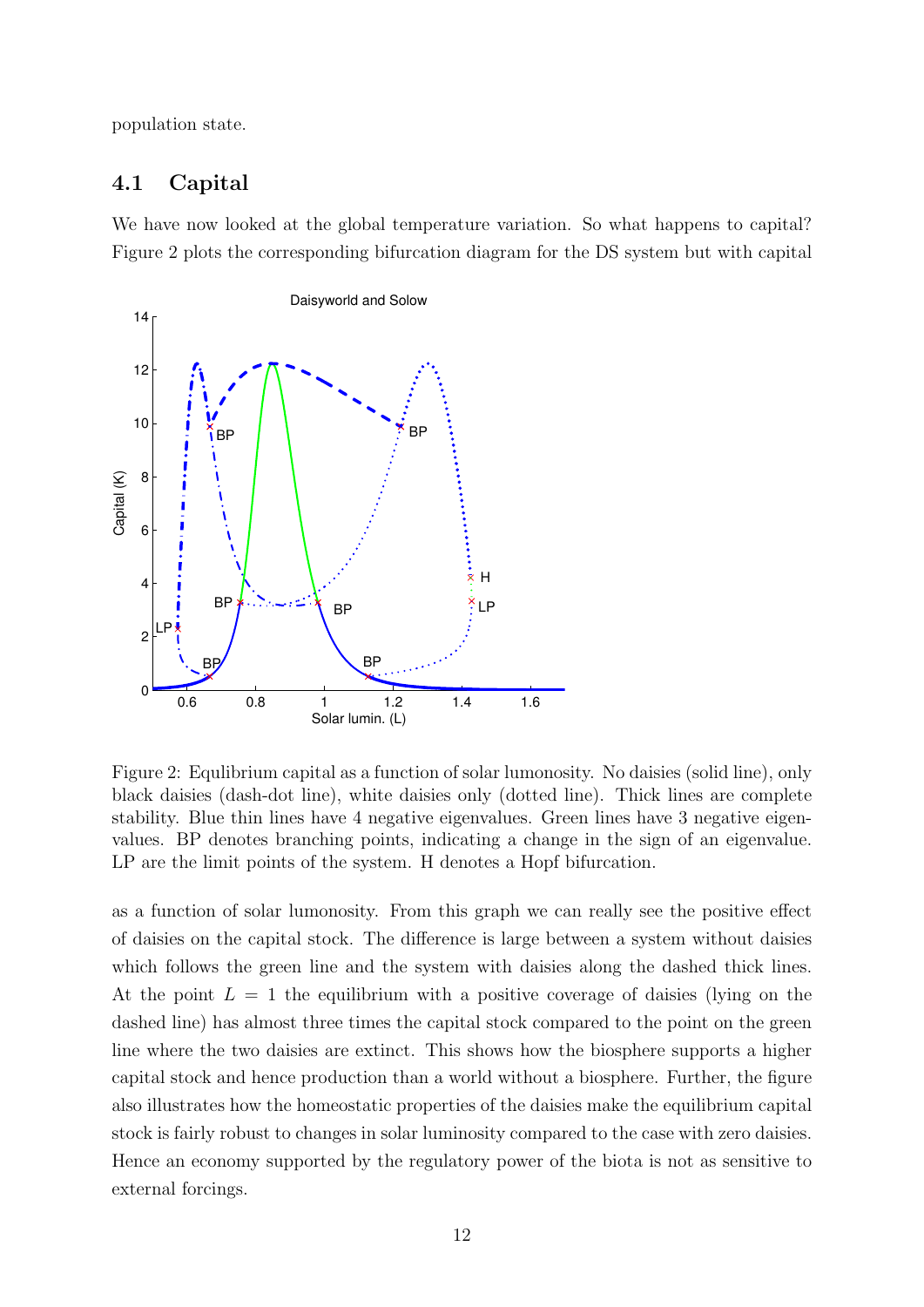population state.

### 4.1 Capital

We have now looked at the global temperature variation. So what happens to capital? Figure 2 plots the corresponding bifurcation diagram for the DS system but with capital



Figure 2: Equlibrium capital as a function of solar lumonosity. No daisies (solid line), only black daisies (dash-dot line), white daisies only (dotted line). Thick lines are complete stability. Blue thin lines have 4 negative eigenvalues. Green lines have 3 negative eigenvalues. BP denotes branching points, indicating a change in the sign of an eigenvalue. LP are the limit points of the system. H denotes a Hopf bifurcation.

as a function of solar lumonosity. From this graph we can really see the positive effect of daisies on the capital stock. The difference is large between a system without daisies which follows the green line and the system with daisies along the dashed thick lines. At the point  $L = 1$  the equilibrium with a positive coverage of daisies (lying on the dashed line) has almost three times the capital stock compared to the point on the green line where the two daisies are extinct. This shows how the biosphere supports a higher capital stock and hence production than a world without a biosphere. Further, the figure also illustrates how the homeostatic properties of the daisies make the equilibrium capital stock is fairly robust to changes in solar luminosity compared to the case with zero daisies. Hence an economy supported by the regulatory power of the biota is not as sensitive to external forcings.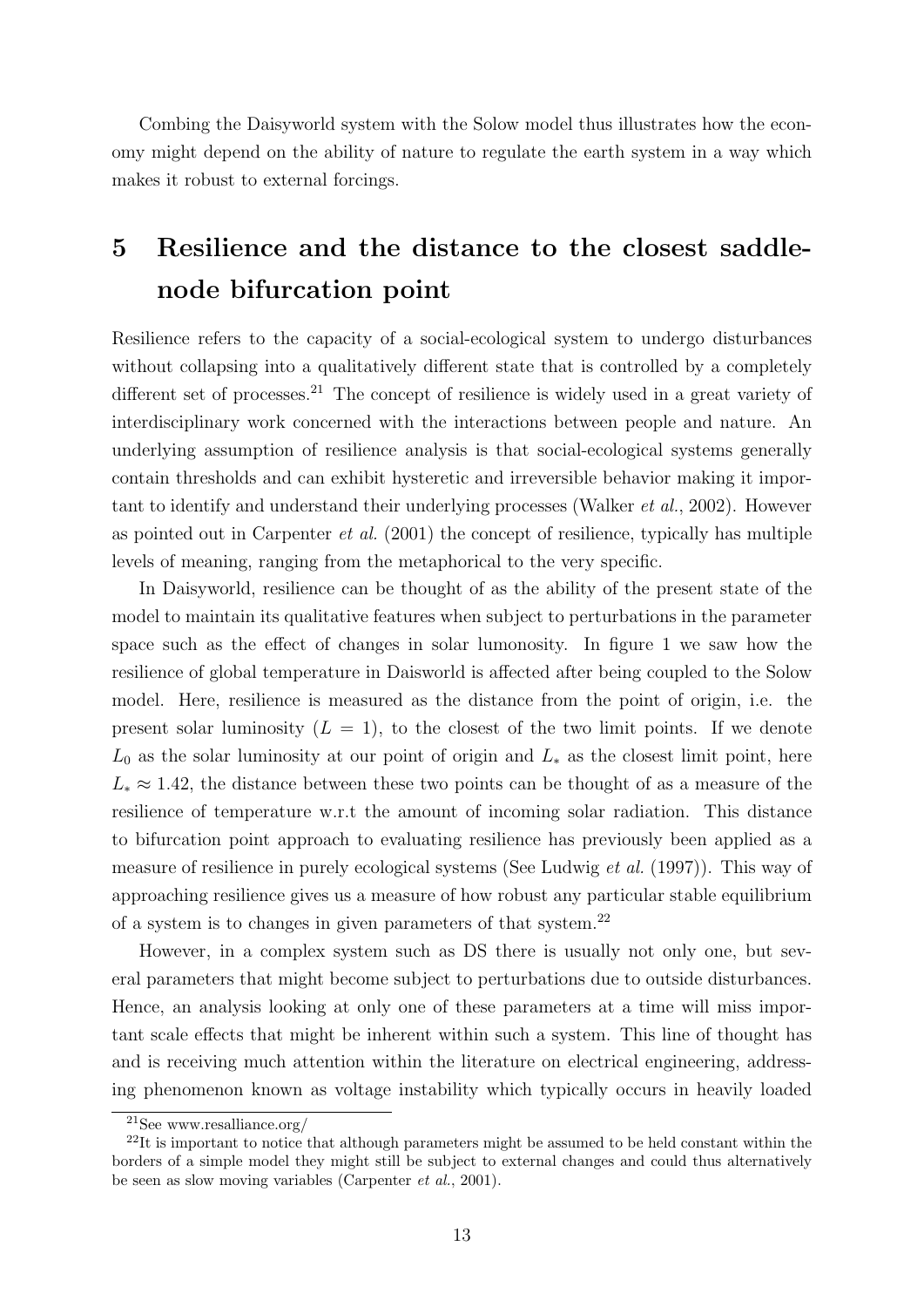Combing the Daisyworld system with the Solow model thus illustrates how the economy might depend on the ability of nature to regulate the earth system in a way which makes it robust to external forcings.

### 5 Resilience and the distance to the closest saddlenode bifurcation point

Resilience refers to the capacity of a social-ecological system to undergo disturbances without collapsing into a qualitatively different state that is controlled by a completely different set of processes.<sup>21</sup> The concept of resilience is widely used in a great variety of interdisciplinary work concerned with the interactions between people and nature. An underlying assumption of resilience analysis is that social-ecological systems generally contain thresholds and can exhibit hysteretic and irreversible behavior making it important to identify and understand their underlying processes (Walker et al., 2002). However as pointed out in Carpenter et al. (2001) the concept of resilience, typically has multiple levels of meaning, ranging from the metaphorical to the very specific.

In Daisyworld, resilience can be thought of as the ability of the present state of the model to maintain its qualitative features when subject to perturbations in the parameter space such as the effect of changes in solar lumonosity. In figure 1 we saw how the resilience of global temperature in Daisworld is affected after being coupled to the Solow model. Here, resilience is measured as the distance from the point of origin, i.e. the present solar luminosity  $(L = 1)$ , to the closest of the two limit points. If we denote  $L_0$  as the solar luminosity at our point of origin and  $L_*$  as the closest limit point, here  $L_* \approx 1.42$ , the distance between these two points can be thought of as a measure of the resilience of temperature w.r.t the amount of incoming solar radiation. This distance to bifurcation point approach to evaluating resilience has previously been applied as a measure of resilience in purely ecological systems (See Ludwig et al. (1997)). This way of approaching resilience gives us a measure of how robust any particular stable equilibrium of a system is to changes in given parameters of that system.<sup>22</sup>

However, in a complex system such as DS there is usually not only one, but several parameters that might become subject to perturbations due to outside disturbances. Hence, an analysis looking at only one of these parameters at a time will miss important scale effects that might be inherent within such a system. This line of thought has and is receiving much attention within the literature on electrical engineering, addressing phenomenon known as voltage instability which typically occurs in heavily loaded

<sup>21</sup>See www.resalliance.org/

 $^{22}$ It is important to notice that although parameters might be assumed to be held constant within the borders of a simple model they might still be subject to external changes and could thus alternatively be seen as slow moving variables (Carpenter et al., 2001).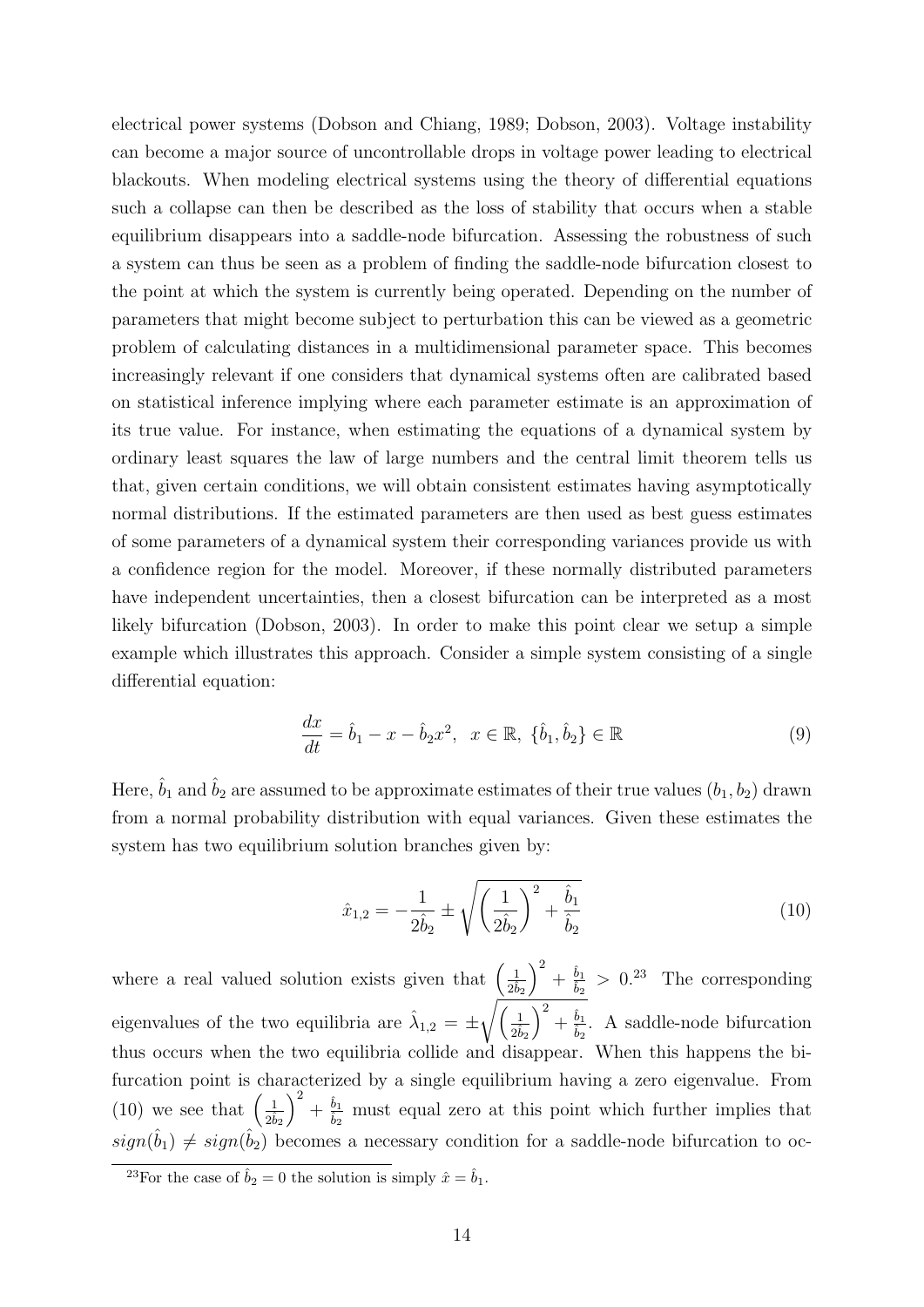electrical power systems (Dobson and Chiang, 1989; Dobson, 2003). Voltage instability can become a major source of uncontrollable drops in voltage power leading to electrical blackouts. When modeling electrical systems using the theory of differential equations such a collapse can then be described as the loss of stability that occurs when a stable equilibrium disappears into a saddle-node bifurcation. Assessing the robustness of such a system can thus be seen as a problem of finding the saddle-node bifurcation closest to the point at which the system is currently being operated. Depending on the number of parameters that might become subject to perturbation this can be viewed as a geometric problem of calculating distances in a multidimensional parameter space. This becomes increasingly relevant if one considers that dynamical systems often are calibrated based on statistical inference implying where each parameter estimate is an approximation of its true value. For instance, when estimating the equations of a dynamical system by ordinary least squares the law of large numbers and the central limit theorem tells us that, given certain conditions, we will obtain consistent estimates having asymptotically normal distributions. If the estimated parameters are then used as best guess estimates of some parameters of a dynamical system their corresponding variances provide us with a confidence region for the model. Moreover, if these normally distributed parameters have independent uncertainties, then a closest bifurcation can be interpreted as a most likely bifurcation (Dobson, 2003). In order to make this point clear we setup a simple example which illustrates this approach. Consider a simple system consisting of a single differential equation:

$$
\frac{dx}{dt} = \hat{b}_1 - x - \hat{b}_2 x^2, \ \ x \in \mathbb{R}, \ \{\hat{b}_1, \hat{b}_2\} \in \mathbb{R}
$$
\n(9)

Here,  $\hat{b}_1$  and  $\hat{b}_2$  are assumed to be approximate estimates of their true values  $(b_1, b_2)$  drawn from a normal probability distribution with equal variances. Given these estimates the system has two equilibrium solution branches given by:

$$
\hat{x}_{1,2} = -\frac{1}{2\hat{b}_2} \pm \sqrt{\left(\frac{1}{2\hat{b}_2}\right)^2 + \frac{\hat{b}_1}{\hat{b}_2}}\tag{10}
$$

where a real valued solution exists given that  $\left(\frac{1}{2\hat{b}_2}\right)$  $\big)^2 + \frac{\hat{b}_1}{\hat{b}_2}$  $\frac{b_1}{\hat{b}_2} > 0.^{23}$  The corresponding eigenvalues of the two equilibria are  $\hat{\lambda}_{1,2} = \pm \sqrt{\frac{1}{2\hat{b}_2}}$  $\big)^2 + \frac{\hat{b}_1}{\hat{b}_2}$  $\frac{b_1}{b_2}$ . A saddle-node bifurcation thus occurs when the two equilibria collide and disappear. When this happens the bifurcation point is characterized by a single equilibrium having a zero eigenvalue. From (10) we see that  $\left(\frac{1}{2\hat{b}_2}\right)$  $\big)^2 + \frac{\hat{b}_1}{\hat{b}_1}$  $\frac{b_1}{b_2}$  must equal zero at this point which further implies that  $sign(\hat{b}_1) \neq sign(\hat{b}_2)$  becomes a necessary condition for a saddle-node bifurcation to oc-

<sup>&</sup>lt;sup>23</sup>For the case of  $\hat{b}_2 = 0$  the solution is simply  $\hat{x} = \hat{b}_1$ .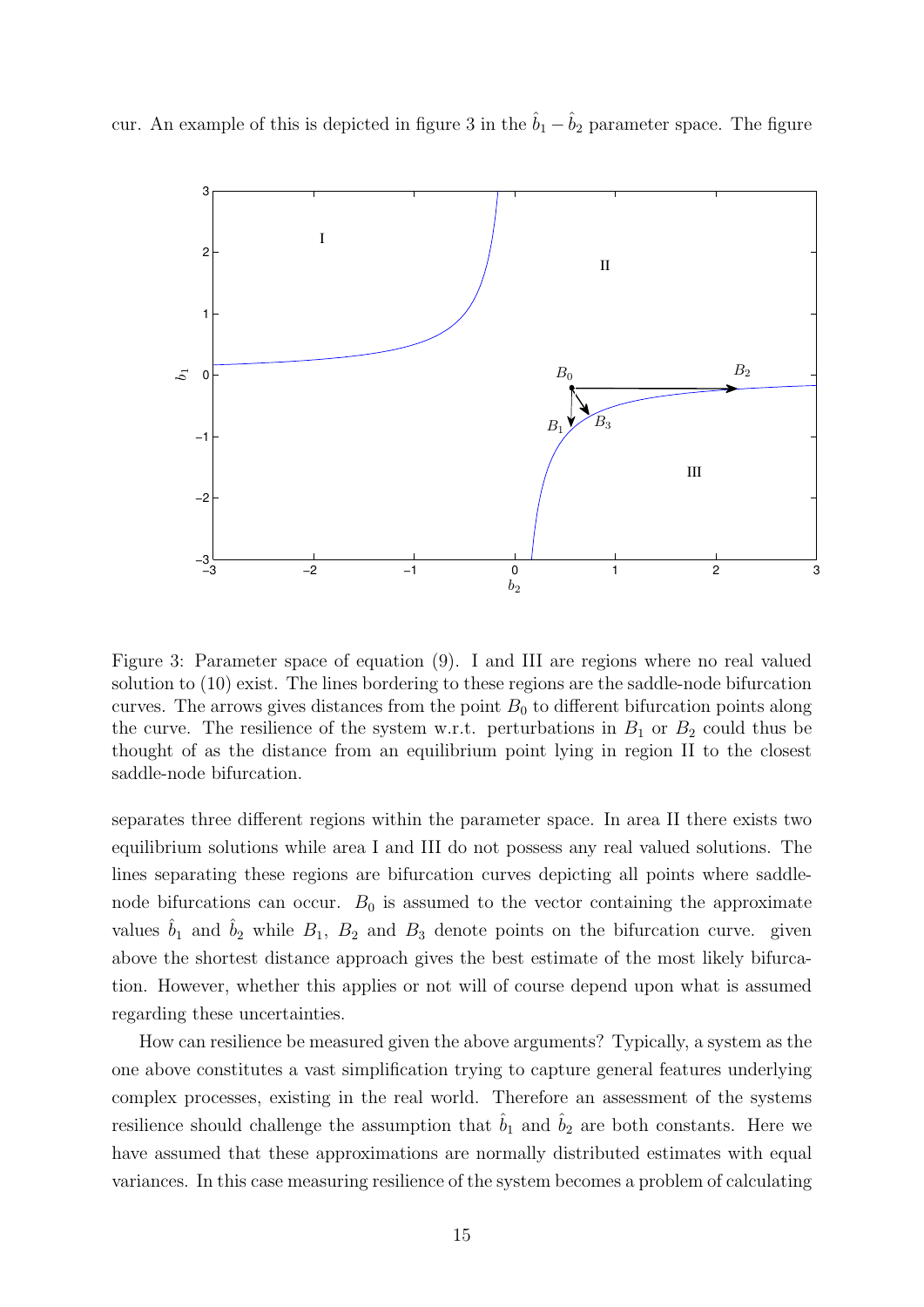cur. An example of this is depicted in figure 3 in the  $\hat{b}_1 - \hat{b}_2$  parameter space. The figure



Figure 3: Parameter space of equation (9). I and III are regions where no real valued solution to (10) exist. The lines bordering to these regions are the saddle-node bifurcation curves. The arrows gives distances from the point  $B_0$  to different bifurcation points along the curve. The resilience of the system w.r.t. perturbations in  $B_1$  or  $B_2$  could thus be thought of as the distance from an equilibrium point lying in region II to the closest saddle-node bifurcation.

separates three different regions within the parameter space. In area II there exists two equilibrium solutions while area I and III do not possess any real valued solutions. The lines separating these regions are bifurcation curves depicting all points where saddlenode bifurcations can occur.  $B_0$  is assumed to the vector containing the approximate values  $\hat{b}_1$  and  $\hat{b}_2$  while  $B_1$ ,  $B_2$  and  $B_3$  denote points on the bifurcation curve. given above the shortest distance approach gives the best estimate of the most likely bifurcation. However, whether this applies or not will of course depend upon what is assumed regarding these uncertainties.

How can resilience be measured given the above arguments? Typically, a system as the one above constitutes a vast simplification trying to capture general features underlying complex processes, existing in the real world. Therefore an assessment of the systems resilience should challenge the assumption that  $\hat{b}_1$  and  $\hat{b}_2$  are both constants. Here we have assumed that these approximations are normally distributed estimates with equal variances. In this case measuring resilience of the system becomes a problem of calculating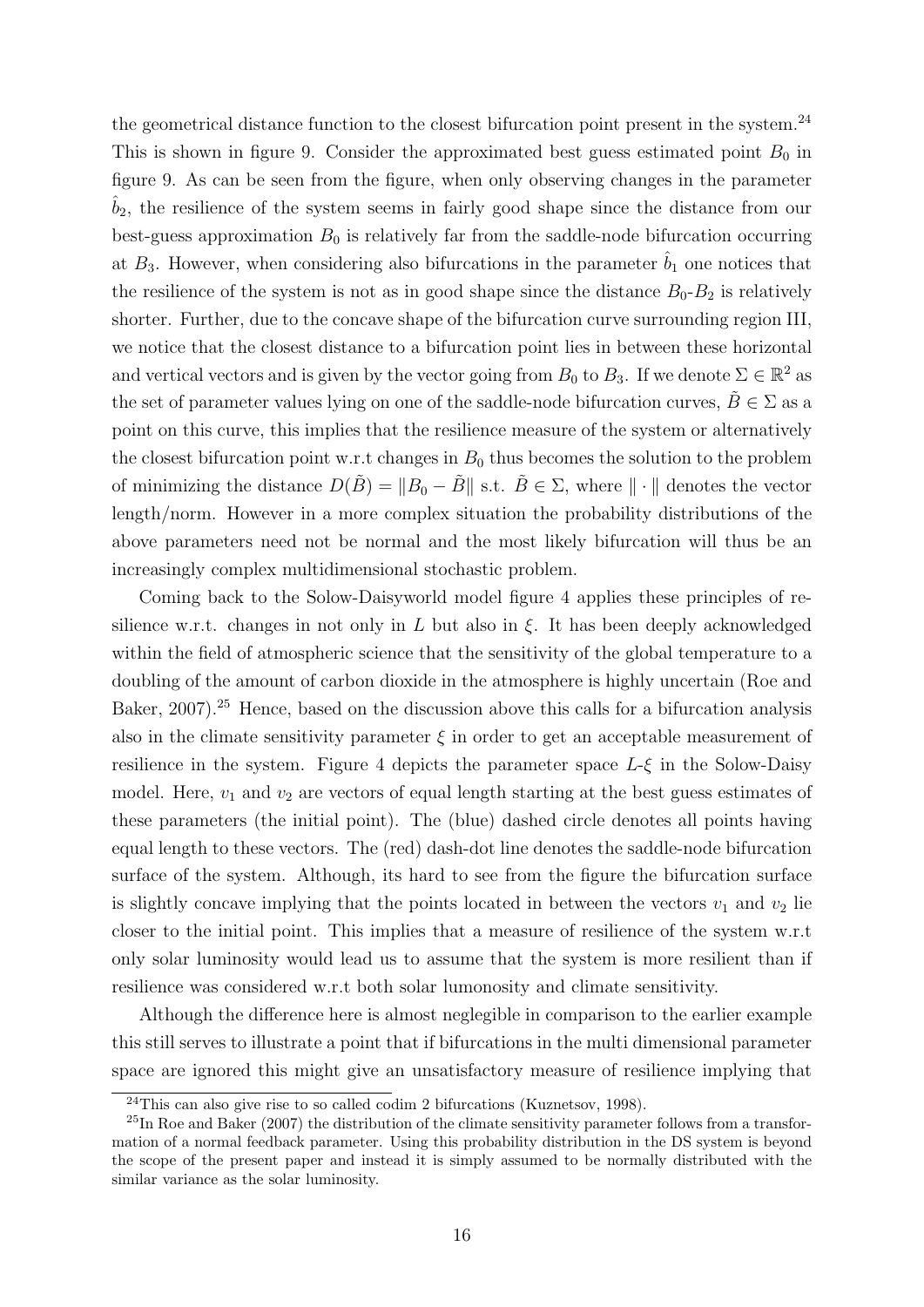the geometrical distance function to the closest bifurcation point present in the system.<sup>24</sup> This is shown in figure 9. Consider the approximated best guess estimated point  $B_0$  in figure 9. As can be seen from the figure, when only observing changes in the parameter  $b_2$ , the resilience of the system seems in fairly good shape since the distance from our best-guess approximation  $B_0$  is relatively far from the saddle-node bifurcation occurring at  $B_3$ . However, when considering also bifurcations in the parameter  $\hat{b}_1$  one notices that the resilience of the system is not as in good shape since the distance  $B_0$ - $B_2$  is relatively shorter. Further, due to the concave shape of the bifurcation curve surrounding region III, we notice that the closest distance to a bifurcation point lies in between these horizontal and vertical vectors and is given by the vector going from  $B_0$  to  $B_3$ . If we denote  $\Sigma \in \mathbb{R}^2$  as the set of parameter values lying on one of the saddle-node bifurcation curves,  $\tilde{B} \in \Sigma$  as a point on this curve, this implies that the resilience measure of the system or alternatively the closest bifurcation point w.r.t changes in  $B_0$  thus becomes the solution to the problem of minimizing the distance  $D(\tilde{B}) = ||B_0 - \tilde{B}||$  s.t.  $\tilde{B} \in \Sigma$ , where  $|| \cdot ||$  denotes the vector length/norm. However in a more complex situation the probability distributions of the above parameters need not be normal and the most likely bifurcation will thus be an increasingly complex multidimensional stochastic problem.

Coming back to the Solow-Daisyworld model figure 4 applies these principles of resilience w.r.t. changes in not only in L but also in  $\xi$ . It has been deeply acknowledged within the field of atmospheric science that the sensitivity of the global temperature to a doubling of the amount of carbon dioxide in the atmosphere is highly uncertain (Roe and Baker, 2007).<sup>25</sup> Hence, based on the discussion above this calls for a bifurcation analysis also in the climate sensitivity parameter  $\xi$  in order to get an acceptable measurement of resilience in the system. Figure 4 depicts the parameter space  $L-\xi$  in the Solow-Daisy model. Here,  $v_1$  and  $v_2$  are vectors of equal length starting at the best guess estimates of these parameters (the initial point). The (blue) dashed circle denotes all points having equal length to these vectors. The (red) dash-dot line denotes the saddle-node bifurcation surface of the system. Although, its hard to see from the figure the bifurcation surface is slightly concave implying that the points located in between the vectors  $v_1$  and  $v_2$  lie closer to the initial point. This implies that a measure of resilience of the system w.r.t only solar luminosity would lead us to assume that the system is more resilient than if resilience was considered w.r.t both solar lumonosity and climate sensitivity.

Although the difference here is almost neglegible in comparison to the earlier example this still serves to illustrate a point that if bifurcations in the multi dimensional parameter space are ignored this might give an unsatisfactory measure of resilience implying that

<sup>24</sup>This can also give rise to so called codim 2 bifurcations (Kuznetsov, 1998).

 $^{25}$ In Roe and Baker (2007) the distribution of the climate sensitivity parameter follows from a transformation of a normal feedback parameter. Using this probability distribution in the DS system is beyond the scope of the present paper and instead it is simply assumed to be normally distributed with the similar variance as the solar luminosity.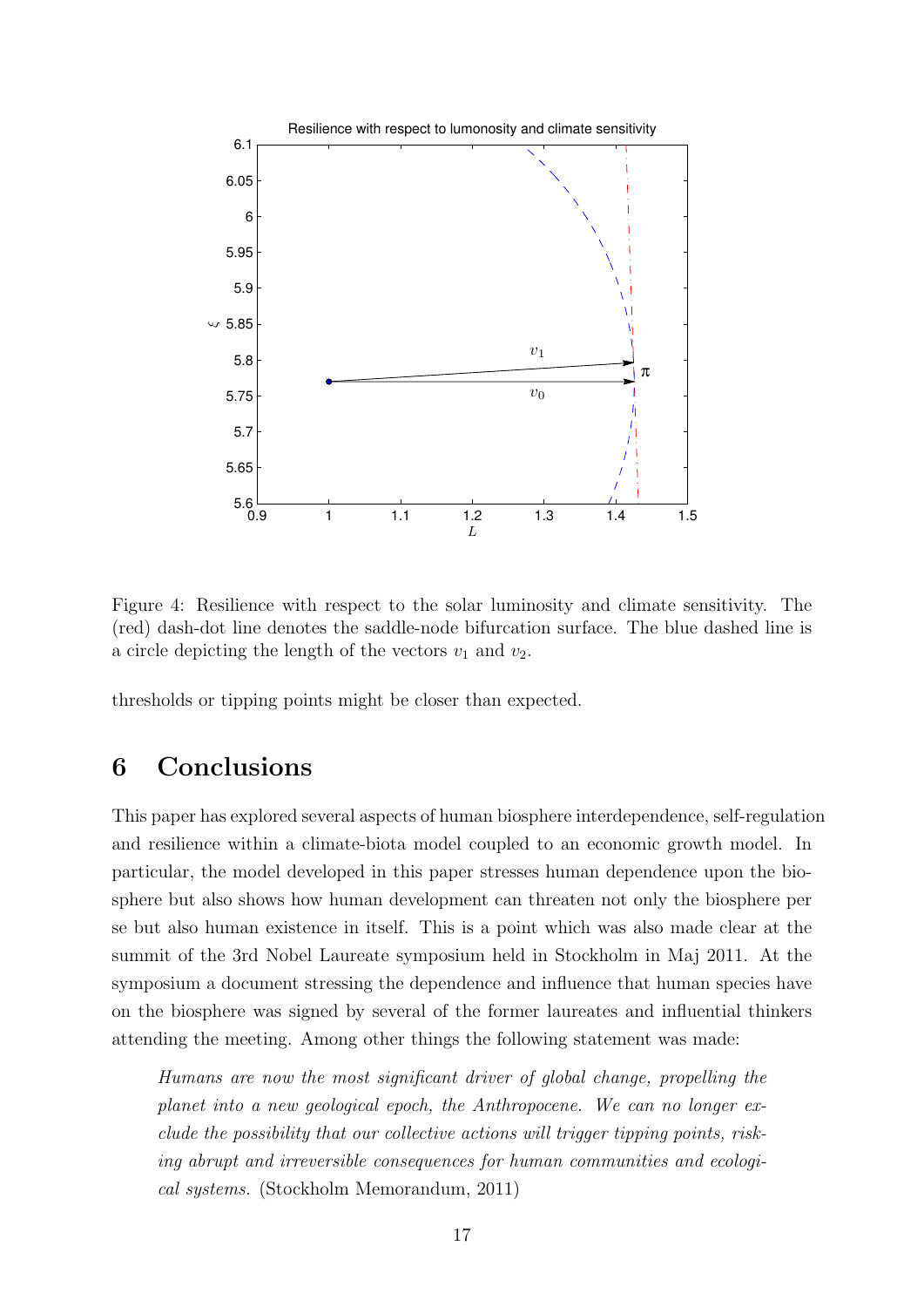

Figure 4: Resilience with respect to the solar luminosity and climate sensitivity. The (red) dash-dot line denotes the saddle-node bifurcation surface. The blue dashed line is a circle depicting the length of the vectors  $v_1$  and  $v_2$ .

thresholds or tipping points might be closer than expected.

### 6 Conclusions

This paper has explored several aspects of human biosphere interdependence, self-regulation and resilience within a climate-biota model coupled to an economic growth model. In particular, the model developed in this paper stresses human dependence upon the biosphere but also shows how human development can threaten not only the biosphere per se but also human existence in itself. This is a point which was also made clear at the summit of the 3rd Nobel Laureate symposium held in Stockholm in Maj 2011. At the symposium a document stressing the dependence and influence that human species have on the biosphere was signed by several of the former laureates and influential thinkers attending the meeting. Among other things the following statement was made:

Humans are now the most significant driver of global change, propelling the planet into a new geological epoch, the Anthropocene. We can no longer exclude the possibility that our collective actions will trigger tipping points, risking abrupt and irreversible consequences for human communities and ecological systems. (Stockholm Memorandum, 2011)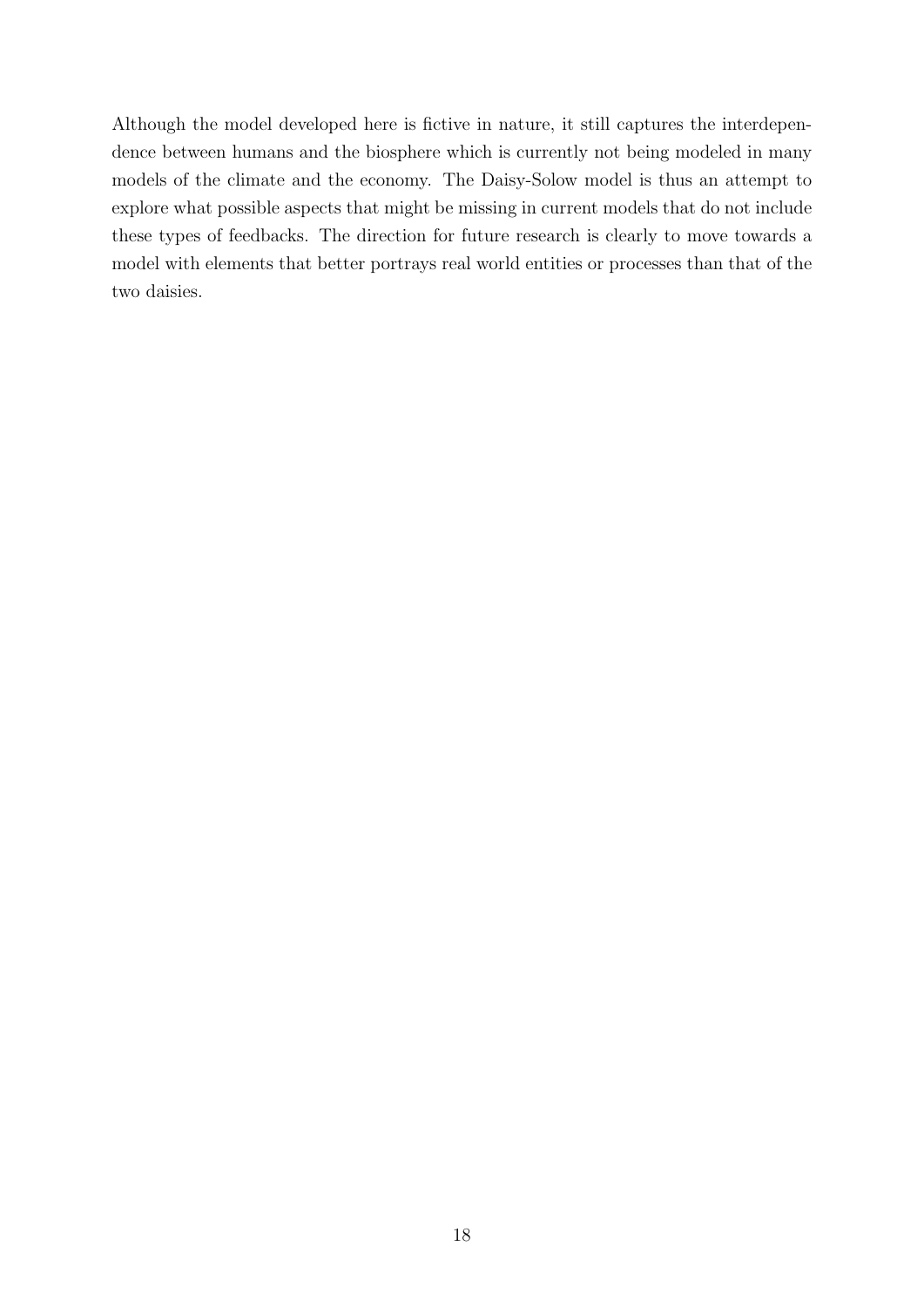Although the model developed here is fictive in nature, it still captures the interdependence between humans and the biosphere which is currently not being modeled in many models of the climate and the economy. The Daisy-Solow model is thus an attempt to explore what possible aspects that might be missing in current models that do not include these types of feedbacks. The direction for future research is clearly to move towards a model with elements that better portrays real world entities or processes than that of the two daisies.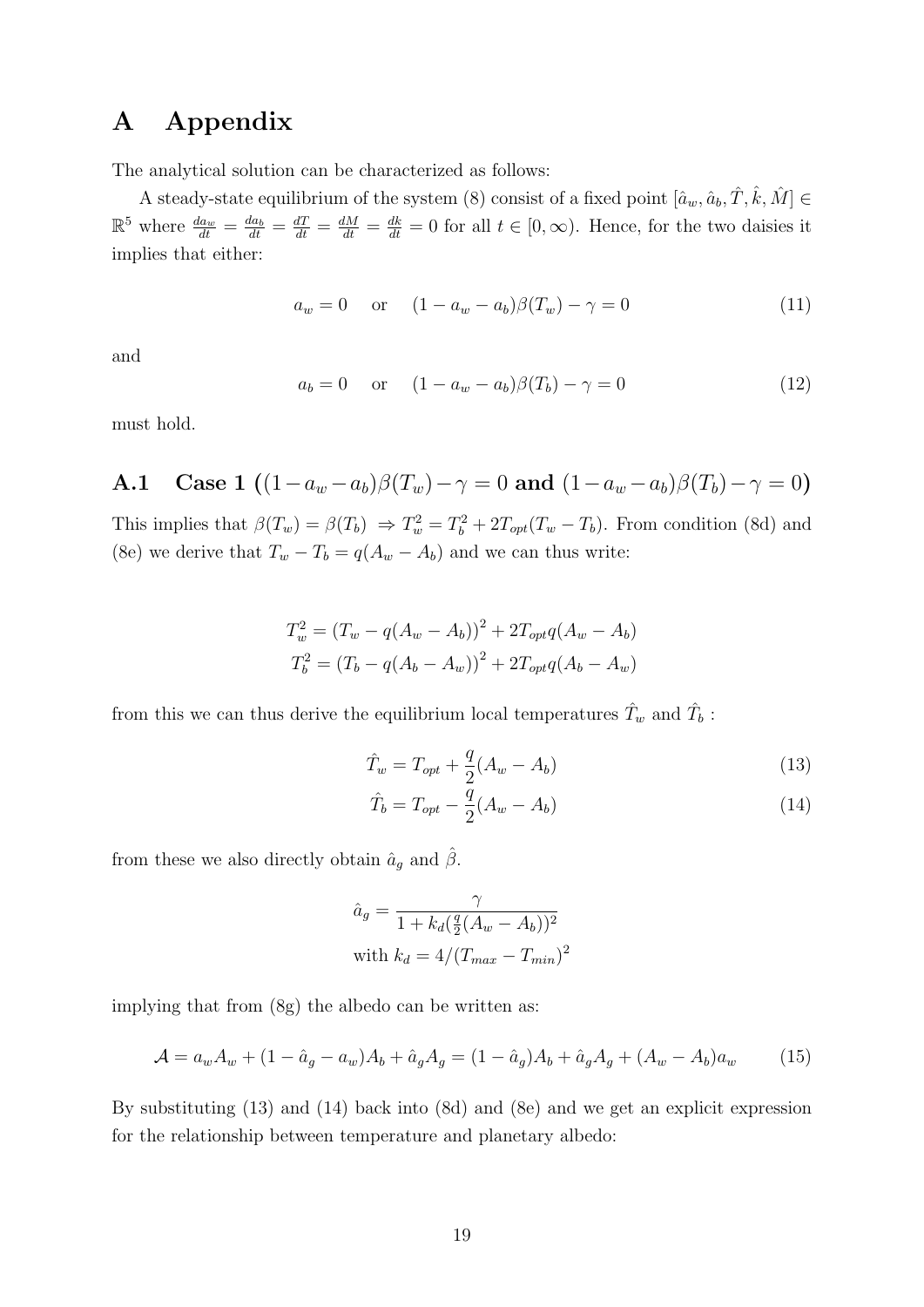### A Appendix

The analytical solution can be characterized as follows:

A steady-state equilibrium of the system (8) consist of a fixed point  $[\hat{a}_w, \hat{a}_b, \hat{T}, \hat{k}, \hat{M}] \in$  $\mathbb{R}^5$  where  $\frac{da_w}{dt} = \frac{da_b}{dt} = \frac{dT}{dt} = \frac{dM}{dt} = \frac{dk}{dt} = 0$  for all  $t \in [0, \infty)$ . Hence, for the two daisies it implies that either:

$$
a_w = 0
$$
 or  $(1 - a_w - a_b)\beta(T_w) - \gamma = 0$  (11)

and

$$
a_b = 0
$$
 or  $(1 - a_w - a_b)\beta(T_b) - \gamma = 0$  (12)

must hold.

A.1 Case 1  $((1-a_w-a_b)\beta(T_w)-\gamma=0$  and  $(1-a_w-a_b)\beta(T_b)-\gamma=0)$ 

This implies that  $\beta(T_w) = \beta(T_b) \Rightarrow T_w^2 = T_b^2 + 2T_{opt}(T_w - T_b)$ . From condition (8d) and (8e) we derive that  $T_w - T_b = q(A_w - A_b)$  and we can thus write:

$$
T_w^2 = (T_w - q(A_w - A_b))^2 + 2T_{opt}q(A_w - A_b)
$$
  
\n
$$
T_b^2 = (T_b - q(A_b - A_w))^2 + 2T_{opt}q(A_b - A_w)
$$

from this we can thus derive the equilibrium local temperatures  $\hat{T}_w$  and  $\hat{T}_b$ :

$$
\hat{T}_w = T_{opt} + \frac{q}{2}(A_w - A_b)
$$
\n(13)

$$
\hat{T}_b = T_{opt} - \frac{\bar{q}}{2}(A_w - A_b)
$$
\n(14)

from these we also directly obtain  $\hat{a}_g$  and  $\hat{\beta}$ .

$$
\hat{a}_g = \frac{\gamma}{1 + k_d(\frac{q}{2}(A_w - A_b))^2}
$$
  
with 
$$
k_d = 4/(T_{max} - T_{min})^2
$$

implying that from (8g) the albedo can be written as:

$$
\mathcal{A} = a_w A_w + (1 - \hat{a}_g - a_w) A_b + \hat{a}_g A_g = (1 - \hat{a}_g) A_b + \hat{a}_g A_g + (A_w - A_b) a_w \tag{15}
$$

By substituting (13) and (14) back into (8d) and (8e) and we get an explicit expression for the relationship between temperature and planetary albedo: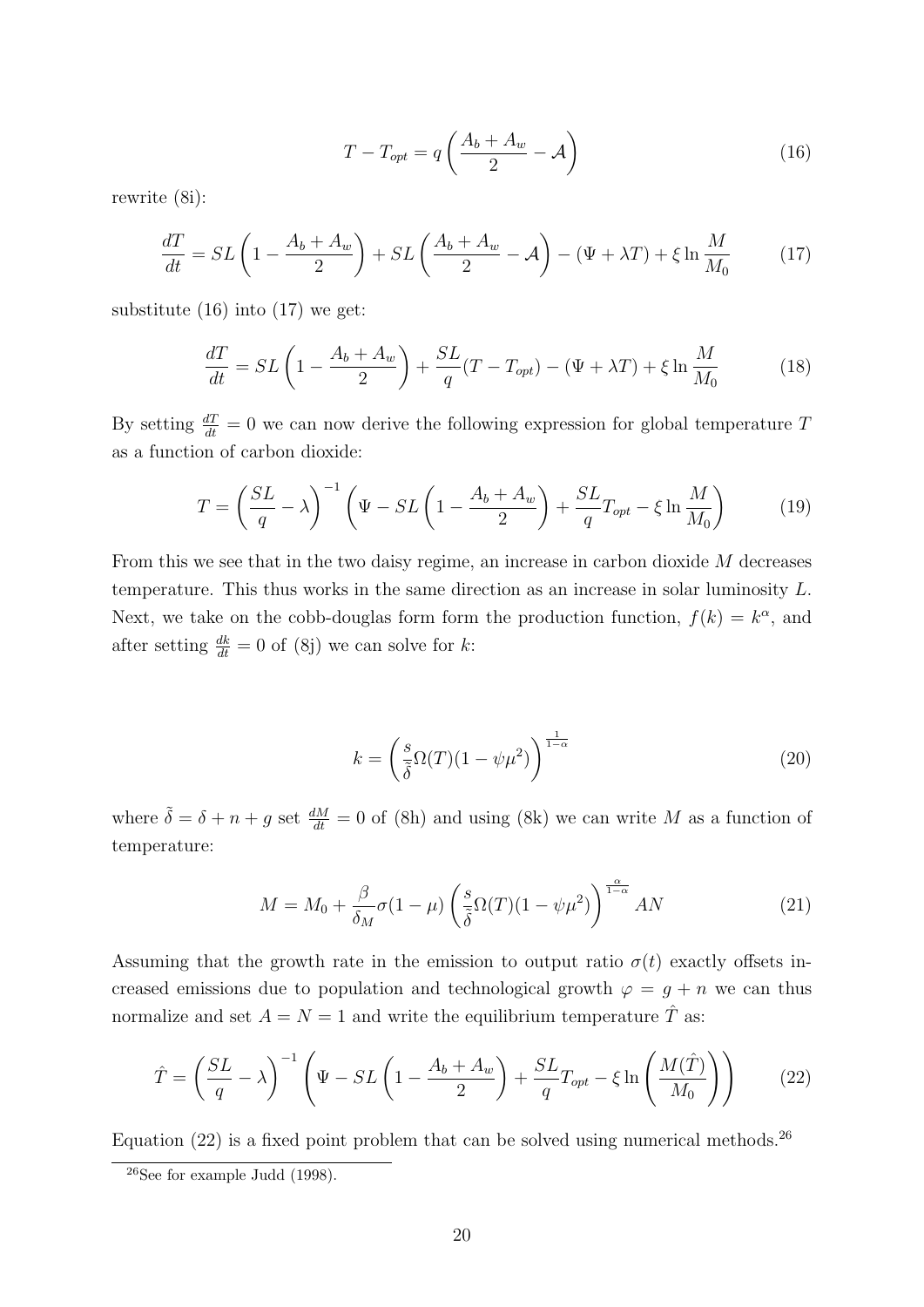$$
T - T_{opt} = q \left( \frac{A_b + A_w}{2} - \mathcal{A} \right)
$$
 (16)

rewrite (8i):

$$
\frac{dT}{dt} = SL\left(1 - \frac{A_b + A_w}{2}\right) + SL\left(\frac{A_b + A_w}{2} - \mathcal{A}\right) - \left(\Psi + \lambda T\right) + \xi \ln \frac{M}{M_0} \tag{17}
$$

substitute  $(16)$  into  $(17)$  we get:

$$
\frac{dT}{dt} = SL\left(1 - \frac{A_b + A_w}{2}\right) + \frac{SL}{q}(T - T_{opt}) - (\Psi + \lambda T) + \xi \ln \frac{M}{M_0} \tag{18}
$$

By setting  $\frac{dT}{dt} = 0$  we can now derive the following expression for global temperature T as a function of carbon dioxide:

$$
T = \left(\frac{SL}{q} - \lambda\right)^{-1} \left(\Psi - SL\left(1 - \frac{A_b + A_w}{2}\right) + \frac{SL}{q}T_{opt} - \xi \ln\frac{M}{M_0}\right) \tag{19}
$$

From this we see that in the two daisy regime, an increase in carbon dioxide M decreases temperature. This thus works in the same direction as an increase in solar luminosity L. Next, we take on the cobb-douglas form form the production function,  $f(k) = k^{\alpha}$ , and after setting  $\frac{dk}{dt} = 0$  of (8j) we can solve for k:

$$
k = \left(\frac{s}{\tilde{\delta}}\Omega(T)(1-\psi\mu^2)\right)^{\frac{1}{1-\alpha}}
$$
\n(20)

where  $\tilde{\delta} = \delta + n + g$  set  $\frac{dM}{dt} = 0$  of (8h) and using (8k) we can write M as a function of temperature:

$$
M = M_0 + \frac{\beta}{\delta_M} \sigma (1 - \mu) \left( \frac{s}{\tilde{\delta}} \Omega(T) (1 - \psi \mu^2) \right)^{\frac{\alpha}{1 - \alpha}} AN \tag{21}
$$

Assuming that the growth rate in the emission to output ratio  $\sigma(t)$  exactly offsets increased emissions due to population and technological growth  $\varphi = g + n$  we can thus normalize and set  $A = N = 1$  and write the equilibrium temperature  $\hat{T}$  as:

$$
\hat{T} = \left(\frac{SL}{q} - \lambda\right)^{-1} \left(\Psi - SL\left(1 - \frac{A_b + A_w}{2}\right) + \frac{SL}{q}T_{opt} - \xi \ln\left(\frac{M(\hat{T})}{M_0}\right)\right) \tag{22}
$$

Equation  $(22)$  is a fixed point problem that can be solved using numerical methods.<sup>26</sup>

 $26$ See for example Judd (1998).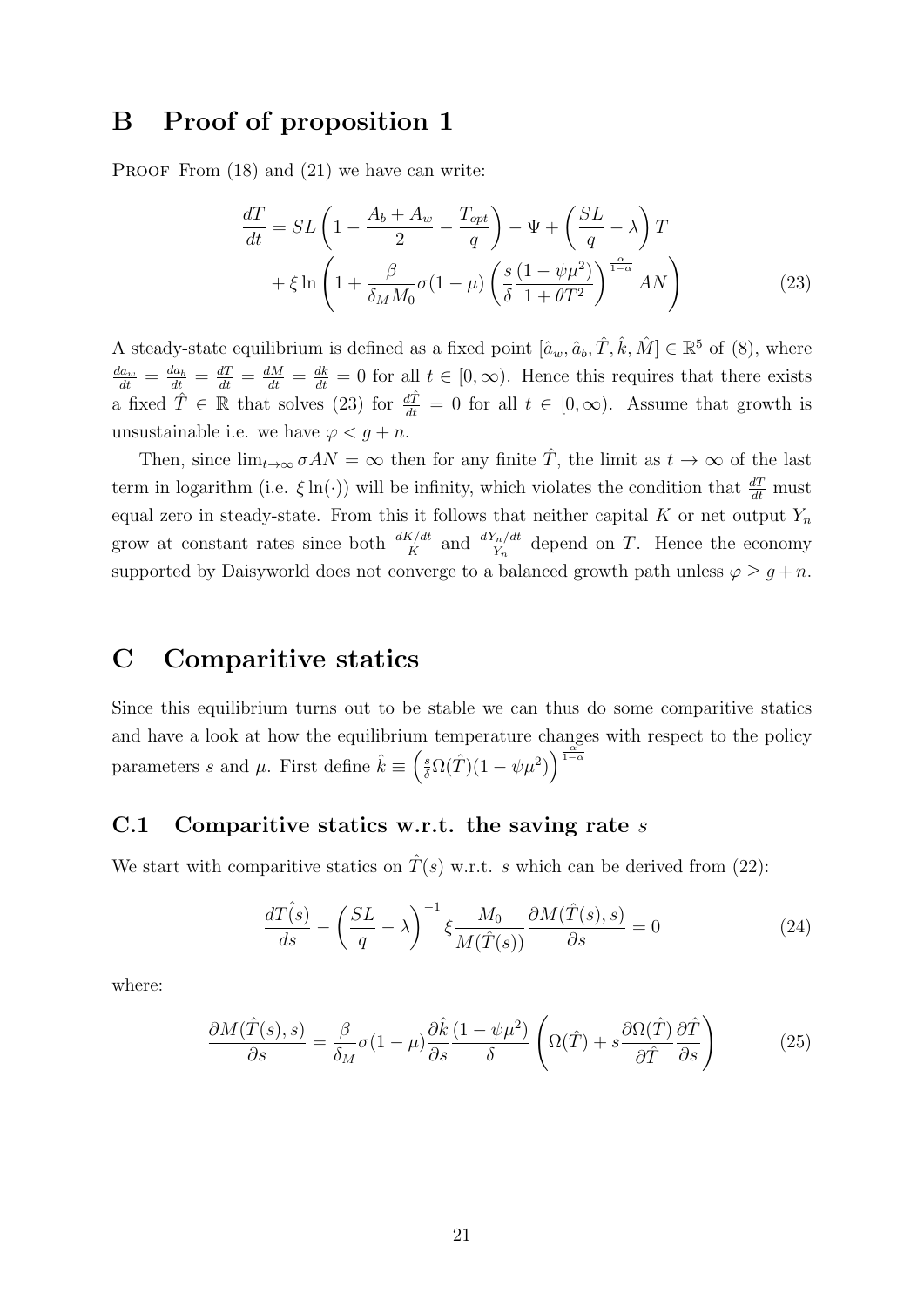### B Proof of proposition 1

PROOF From  $(18)$  and  $(21)$  we have can write:

$$
\frac{dT}{dt} = SL\left(1 - \frac{A_b + A_w}{2} - \frac{T_{opt}}{q}\right) - \Psi + \left(\frac{SL}{q} - \lambda\right)T + \xi \ln\left(1 + \frac{\beta}{\delta_M M_0} \sigma (1 - \mu) \left(\frac{s}{\delta} \frac{(1 - \psi \mu^2)}{1 + \theta T^2}\right)^{\frac{\alpha}{1 - \alpha}} AN\right)
$$
(23)

A steady-state equilibrium is defined as a fixed point  $[\hat{a}_w, \hat{a}_b, \hat{T}, \hat{k}, \hat{M}] \in \mathbb{R}^5$  of (8), where  $\frac{da_w}{dt} = \frac{da_b}{dt} = \frac{dT}{dt} = \frac{dM}{dt} = \frac{dk}{dt} = 0$  for all  $t \in [0, \infty)$ . Hence this requires that there exists a fixed  $\hat{T} \in \mathbb{R}$  that solves (23) for  $\frac{d\hat{T}}{dt} = 0$  for all  $t \in [0, \infty)$ . Assume that growth is unsustainable i.e. we have  $\varphi < q + n$ .

Then, since  $\lim_{t\to\infty} \sigma AN = \infty$  then for any finite  $\hat{T}$ , the limit as  $t\to\infty$  of the last term in logarithm (i.e.  $\xi \ln(\cdot)$ ) will be infinity, which violates the condition that  $\frac{dT}{dt}$  must equal zero in steady-state. From this it follows that neither capital K or net output  $Y_n$ grow at constant rates since both  $\frac{dK/dt}{K}$  and  $\frac{dY_n/dt}{Y_n}$  depend on T. Hence the economy supported by Daisyworld does not converge to a balanced growth path unless  $\varphi \geq g + n$ .

### C Comparitive statics

Since this equilibrium turns out to be stable we can thus do some comparitive statics and have a look at how the equilibrium temperature changes with respect to the policy parameters s and  $\mu$ . First define  $\hat{k} \equiv \left(\frac{s}{\delta}\Omega(\hat{T})(1-\psi\mu^2)\right)^{\frac{\alpha}{1-\alpha}}$ 

#### C.1 Comparitive statics w.r.t. the saving rate  $s$

We start with comparitive statics on  $\hat{T}(s)$  w.r.t. s which can be derived from (22):

$$
\frac{d\hat{T}(s)}{ds} - \left(\frac{SL}{q} - \lambda\right)^{-1} \xi \frac{M_0}{M(\hat{T}(s))} \frac{\partial M(\hat{T}(s), s)}{\partial s} = 0 \tag{24}
$$

where:

$$
\frac{\partial M(\hat{T}(s),s)}{\partial s} = \frac{\beta}{\delta_M} \sigma (1-\mu) \frac{\partial \hat{k}}{\partial s} \frac{(1-\psi\mu^2)}{\delta} \left( \Omega(\hat{T}) + s \frac{\partial \Omega(\hat{T})}{\partial \hat{T}} \frac{\partial \hat{T}}{\partial s} \right) \tag{25}
$$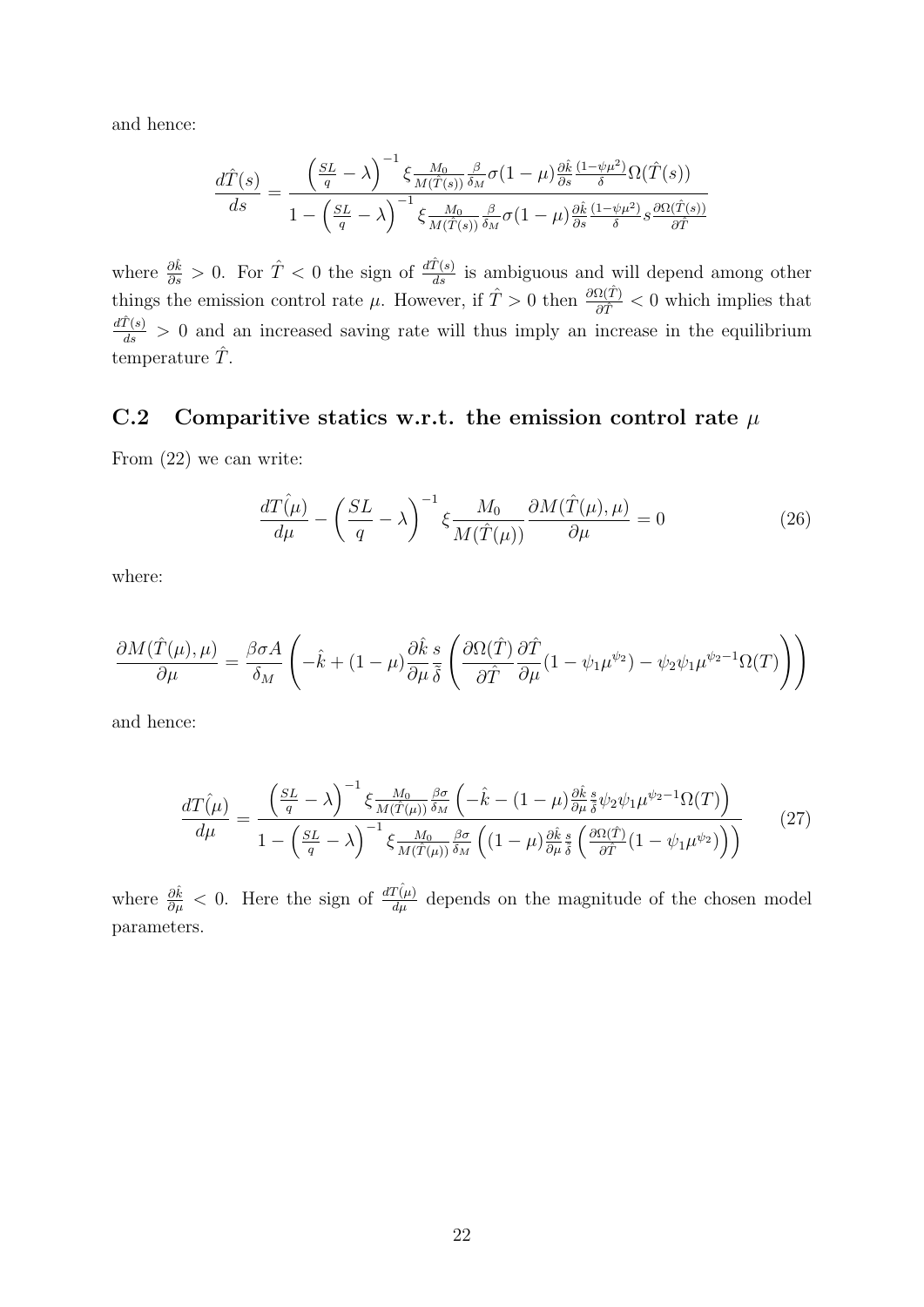and hence:

$$
\frac{d\hat{T}(s)}{ds} = \frac{\left(\frac{SL}{q} - \lambda\right)^{-1} \xi \frac{M_0}{M(\hat{T}(s))} \frac{\beta}{\delta_M} \sigma(1-\mu) \frac{\partial \hat{k}}{\partial s} \frac{(1-\psi\mu^2)}{\delta} \Omega(\hat{T}(s))}{1 - \left(\frac{SL}{q} - \lambda\right)^{-1} \xi \frac{M_0}{M(\hat{T}(s))} \frac{\beta}{\delta_M} \sigma(1-\mu) \frac{\partial \hat{k}}{\partial s} \frac{(1-\psi\mu^2)}{\delta} s \frac{\partial \Omega(\hat{T}(s))}{\partial \hat{T}}
$$

where  $\frac{\partial \hat{k}}{\partial s} > 0$ . For  $\hat{T} < 0$  the sign of  $\frac{d\hat{T}(s)}{ds}$  is ambiguous and will depend among other things the emission control rate  $\mu$ . However, if  $\hat{T} > 0$  then  $\frac{\partial \Omega(\hat{T})}{\partial \hat{T}} < 0$  which implies that  $\frac{d\hat{T}(s)}{ds} > 0$  and an increased saving rate will thus imply an increase in the equilibrium temperature  $\hat{T}$ .

### C.2 Comparitive statics w.r.t. the emission control rate  $\mu$

From (22) we can write:

$$
\frac{d\hat{T}(\mu)}{d\mu} - \left(\frac{SL}{q} - \lambda\right)^{-1} \xi \frac{M_0}{M(\hat{T}(\mu))} \frac{\partial M(\hat{T}(\mu), \mu)}{\partial \mu} = 0 \tag{26}
$$

where:

$$
\frac{\partial M(\hat{T}(\mu),\mu)}{\partial \mu} = \frac{\beta \sigma A}{\delta_M} \left( -\hat{k} + (1-\mu) \frac{\partial \hat{k}}{\partial \mu} \frac{s}{\delta} \left( \frac{\partial \Omega(\hat{T})}{\partial \hat{T}} \frac{\partial \hat{T}}{\partial \mu} (1 - \psi_1 \mu^{\psi_2}) - \psi_2 \psi_1 \mu^{\psi_2 - 1} \Omega(T) \right) \right)
$$

and hence:

$$
\frac{dT(\mu)}{d\mu} = \frac{\left(\frac{SL}{q} - \lambda\right)^{-1} \xi \frac{M_0}{M(\hat{T}(\mu))} \frac{\beta \sigma}{\delta_M} \left(-\hat{k} - (1 - \mu) \frac{\partial \hat{k}}{\partial \mu} \frac{\hat{s}}{\delta} \psi_2 \psi_1 \mu^{\psi_2 - 1} \Omega(T)\right)}{1 - \left(\frac{SL}{q} - \lambda\right)^{-1} \xi \frac{M_0}{M(\hat{T}(\mu))} \frac{\beta \sigma}{\delta_M} \left((1 - \mu) \frac{\partial \hat{k}}{\partial \mu} \frac{\hat{s}}{\delta} \left(\frac{\partial \Omega(\hat{T})}{\partial \hat{T}}(1 - \psi_1 \mu^{\psi_2})\right)\right)}\tag{27}
$$

where  $\frac{\partial \hat{k}}{\partial \mu} < 0$ . Here the sign of  $\frac{dT(\hat{\mu})}{d\mu}$  depends on the magnitude of the chosen model parameters.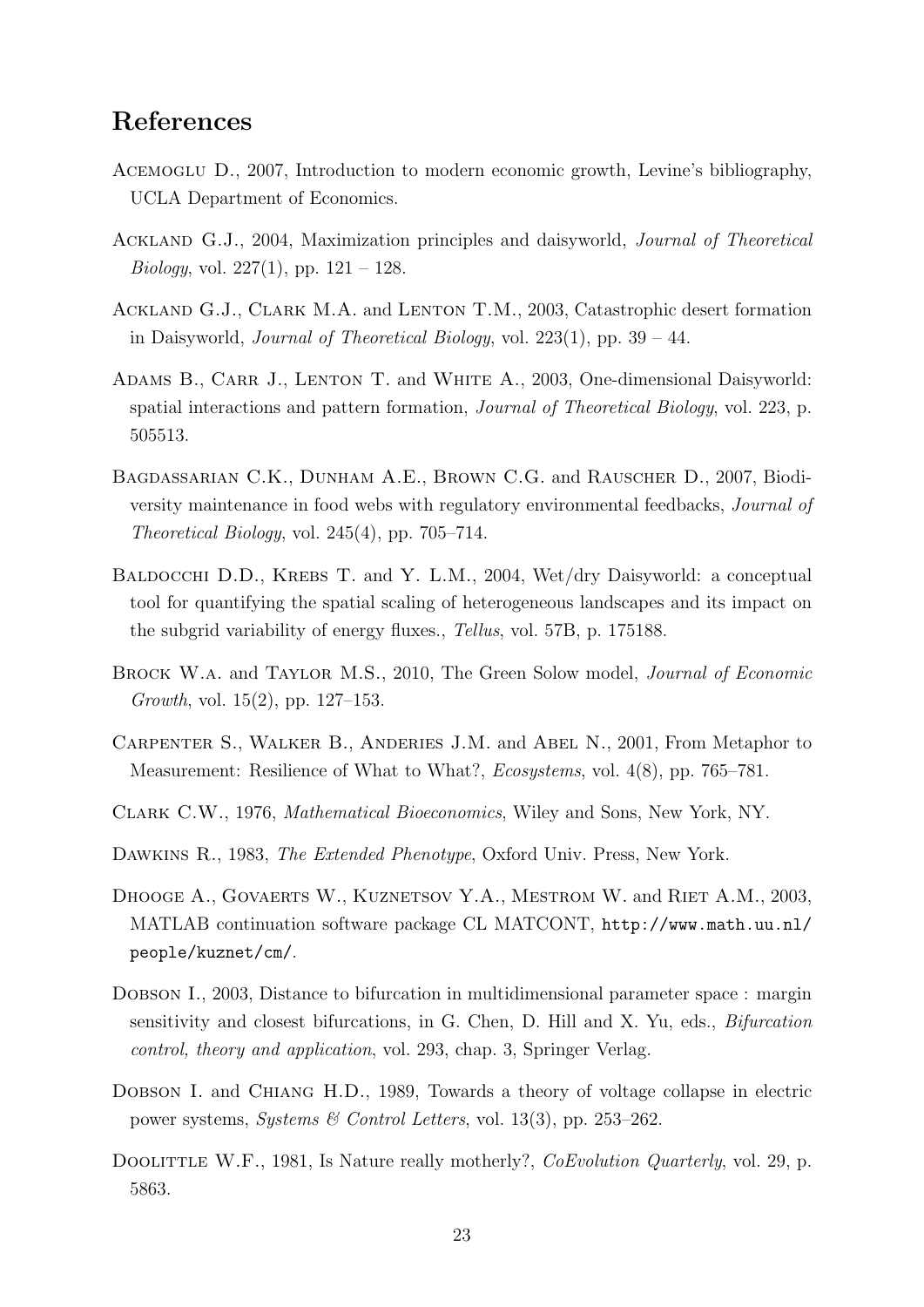### References

- Acemoglu D., 2007, Introduction to modern economic growth, Levine's bibliography, UCLA Department of Economics.
- Ackland G.J., 2004, Maximization principles and daisyworld, Journal of Theoretical *Biology*, vol. 227(1), pp.  $121 - 128$ .
- Ackland G.J., Clark M.A. and Lenton T.M., 2003, Catastrophic desert formation in Daisyworld, *Journal of Theoretical Biology*, vol.  $223(1)$ , pp.  $39 - 44$ .
- ADAMS B., CARR J., LENTON T. and WHITE A., 2003, One-dimensional Daisyworld: spatial interactions and pattern formation, Journal of Theoretical Biology, vol. 223, p. 505513.
- Bagdassarian C.K., Dunham A.E., Brown C.G. and Rauscher D., 2007, Biodiversity maintenance in food webs with regulatory environmental feedbacks, Journal of Theoretical Biology, vol. 245(4), pp. 705–714.
- BALDOCCHI D.D., KREBS T. and Y. L.M., 2004, Wet/dry Daisyworld: a conceptual tool for quantifying the spatial scaling of heterogeneous landscapes and its impact on the subgrid variability of energy fluxes., Tellus, vol. 57B, p. 175188.
- Brock W.a. and Taylor M.S., 2010, The Green Solow model, Journal of Economic Growth, vol.  $15(2)$ , pp.  $127-153$ .
- Carpenter S., Walker B., Anderies J.M. and Abel N., 2001, From Metaphor to Measurement: Resilience of What to What?, Ecosystems, vol. 4(8), pp. 765–781.
- Clark C.W., 1976, Mathematical Bioeconomics, Wiley and Sons, New York, NY.
- Dawkins R., 1983, The Extended Phenotype, Oxford Univ. Press, New York.
- DHOOGE A., GOVAERTS W., KUZNETSOV Y.A., MESTROM W. and RIET A.M., 2003, MATLAB continuation software package CL MATCONT, http://www.math.uu.nl/ people/kuznet/cm/.
- DOBSON I., 2003, Distance to bifurcation in multidimensional parameter space : margin sensitivity and closest bifurcations, in G. Chen, D. Hill and X. Yu, eds., Bifurcation control, theory and application, vol. 293, chap. 3, Springer Verlag.
- DOBSON I. and CHIANG H.D., 1989, Towards a theory of voltage collapse in electric power systems, Systems & Control Letters, vol. 13(3), pp. 253–262.
- DOOLITTLE W.F., 1981, Is Nature really motherly?, *CoEvolution Quarterly*, vol. 29, p. 5863.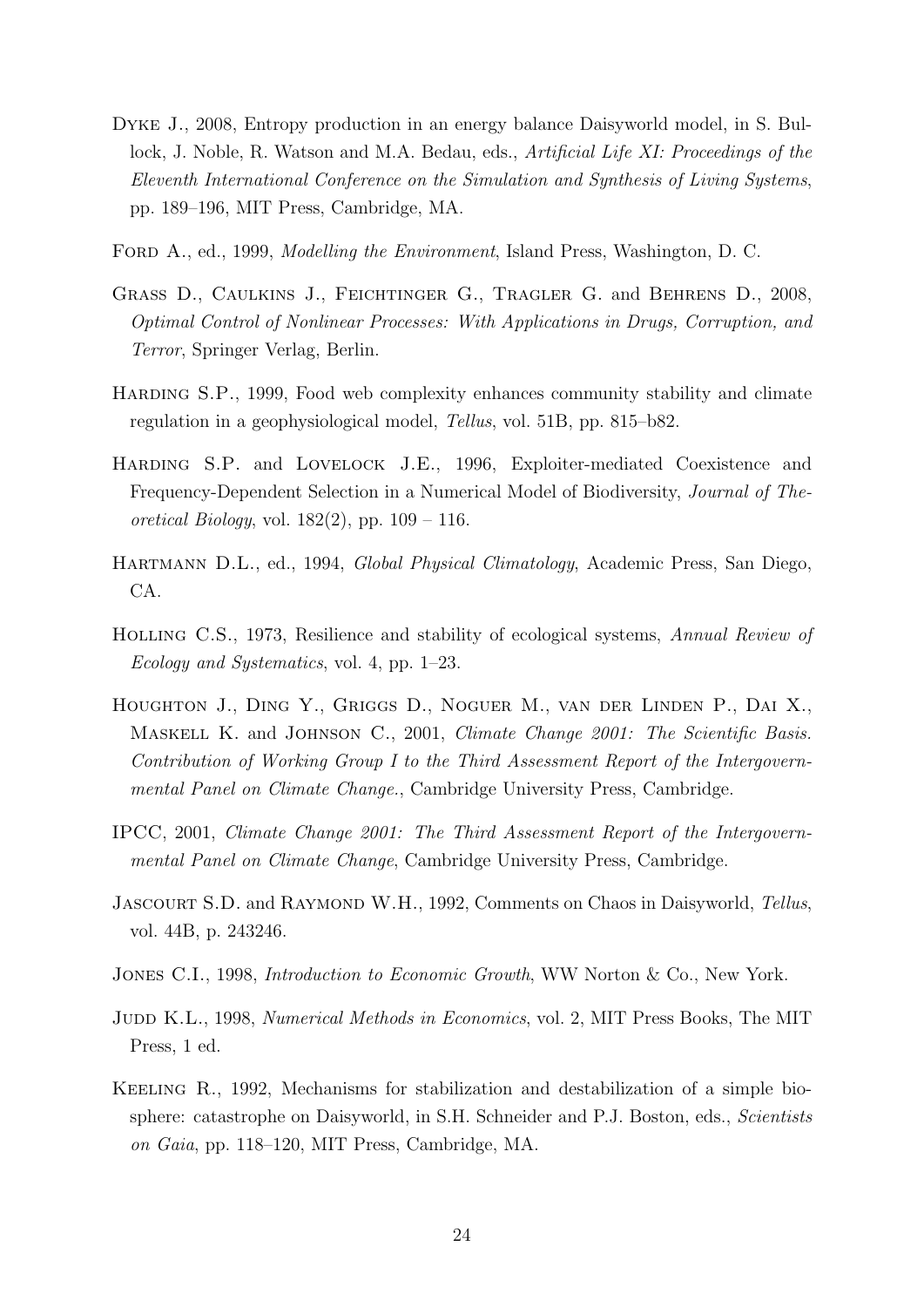- Dyke J., 2008, Entropy production in an energy balance Daisyworld model, in S. Bullock, J. Noble, R. Watson and M.A. Bedau, eds., Artificial Life XI: Proceedings of the Eleventh International Conference on the Simulation and Synthesis of Living Systems, pp. 189–196, MIT Press, Cambridge, MA.
- FORD A., ed., 1999, *Modelling the Environment*, Island Press, Washington, D. C.
- Grass D., Caulkins J., Feichtinger G., Tragler G. and Behrens D., 2008, Optimal Control of Nonlinear Processes: With Applications in Drugs, Corruption, and Terror, Springer Verlag, Berlin.
- Harding S.P., 1999, Food web complexity enhances community stability and climate regulation in a geophysiological model, Tellus, vol. 51B, pp. 815–b82.
- Harding S.P. and Lovelock J.E., 1996, Exploiter-mediated Coexistence and Frequency-Dependent Selection in a Numerical Model of Biodiversity, Journal of Theoretical Biology, vol.  $182(2)$ , pp.  $109 - 116$ .
- Hartmann D.L., ed., 1994, Global Physical Climatology, Academic Press, San Diego, CA.
- Holling C.S., 1973, Resilience and stability of ecological systems, Annual Review of Ecology and Systematics, vol. 4, pp. 1–23.
- Houghton J., Ding Y., Griggs D., Noguer M., van der Linden P., Dai X., MASKELL K. and JOHNSON C., 2001, Climate Change 2001: The Scientific Basis. Contribution of Working Group I to the Third Assessment Report of the Intergovernmental Panel on Climate Change., Cambridge University Press, Cambridge.
- IPCC, 2001, Climate Change 2001: The Third Assessment Report of the Intergovernmental Panel on Climate Change, Cambridge University Press, Cambridge.
- JASCOURT S.D. and RAYMOND W.H., 1992, Comments on Chaos in Daisyworld, Tellus, vol. 44B, p. 243246.
- JONES C.I., 1998, *Introduction to Economic Growth*, WW Norton & Co., New York.
- JUDD K.L., 1998, Numerical Methods in Economics, vol. 2, MIT Press Books, The MIT Press, 1 ed.
- Keeling R., 1992, Mechanisms for stabilization and destabilization of a simple biosphere: catastrophe on Daisyworld, in S.H. Schneider and P.J. Boston, eds., *Scientists* on Gaia, pp. 118–120, MIT Press, Cambridge, MA.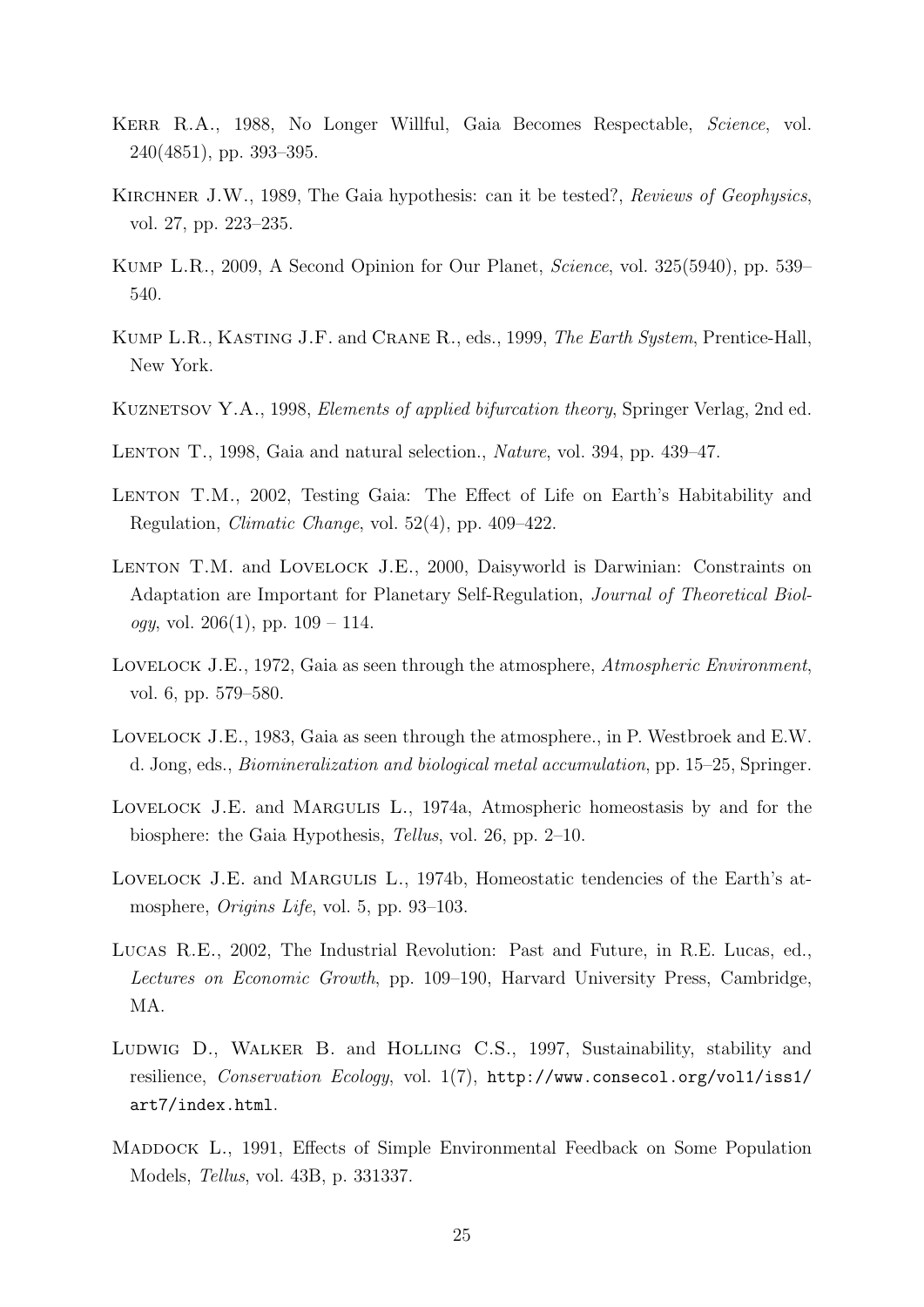- Kerr R.A., 1988, No Longer Willful, Gaia Becomes Respectable, Science, vol. 240(4851), pp. 393–395.
- KIRCHNER J.W., 1989, The Gaia hypothesis: can it be tested?, Reviews of Geophysics, vol. 27, pp. 223–235.
- Kump L.R., 2009, A Second Opinion for Our Planet, Science, vol. 325(5940), pp. 539– 540.
- Kump L.R., Kasting J.F. and Crane R., eds., 1999, The Earth System, Prentice-Hall, New York.
- KUZNETSOV Y.A., 1998, *Elements of applied bifurcation theory*, Springer Verlag, 2nd ed.
- LENTON T., 1998, Gaia and natural selection., *Nature*, vol. 394, pp. 439–47.
- LENTON T.M., 2002, Testing Gaia: The Effect of Life on Earth's Habitability and Regulation, Climatic Change, vol. 52(4), pp. 409–422.
- LENTON T.M. and LOVELOCK J.E., 2000, Daisyworld is Darwinian: Constraints on Adaptation are Important for Planetary Self-Regulation, Journal of Theoretical Biol*ogy*, vol. 206(1), pp.  $109 - 114$ .
- LOVELOCK J.E., 1972, Gaia as seen through the atmosphere, Atmospheric Environment, vol. 6, pp. 579–580.
- Lovelock J.E., 1983, Gaia as seen through the atmosphere., in P. Westbroek and E.W. d. Jong, eds., Biomineralization and biological metal accumulation, pp. 15–25, Springer.
- Lovelock J.E. and Margulis L., 1974a, Atmospheric homeostasis by and for the biosphere: the Gaia Hypothesis, Tellus, vol. 26, pp. 2–10.
- Lovelock J.E. and Margulis L., 1974b, Homeostatic tendencies of the Earth's atmosphere, *Origins Life*, vol. 5, pp. 93–103.
- Lucas R.E., 2002, The Industrial Revolution: Past and Future, in R.E. Lucas, ed., Lectures on Economic Growth, pp. 109–190, Harvard University Press, Cambridge, MA.
- LUDWIG D., WALKER B. and HOLLING C.S., 1997, Sustainability, stability and resilience, Conservation Ecology, vol. 1(7), http://www.consecol.org/vol1/iss1/ art7/index.html.
- MADDOCK L., 1991, Effects of Simple Environmental Feedback on Some Population Models, Tellus, vol. 43B, p. 331337.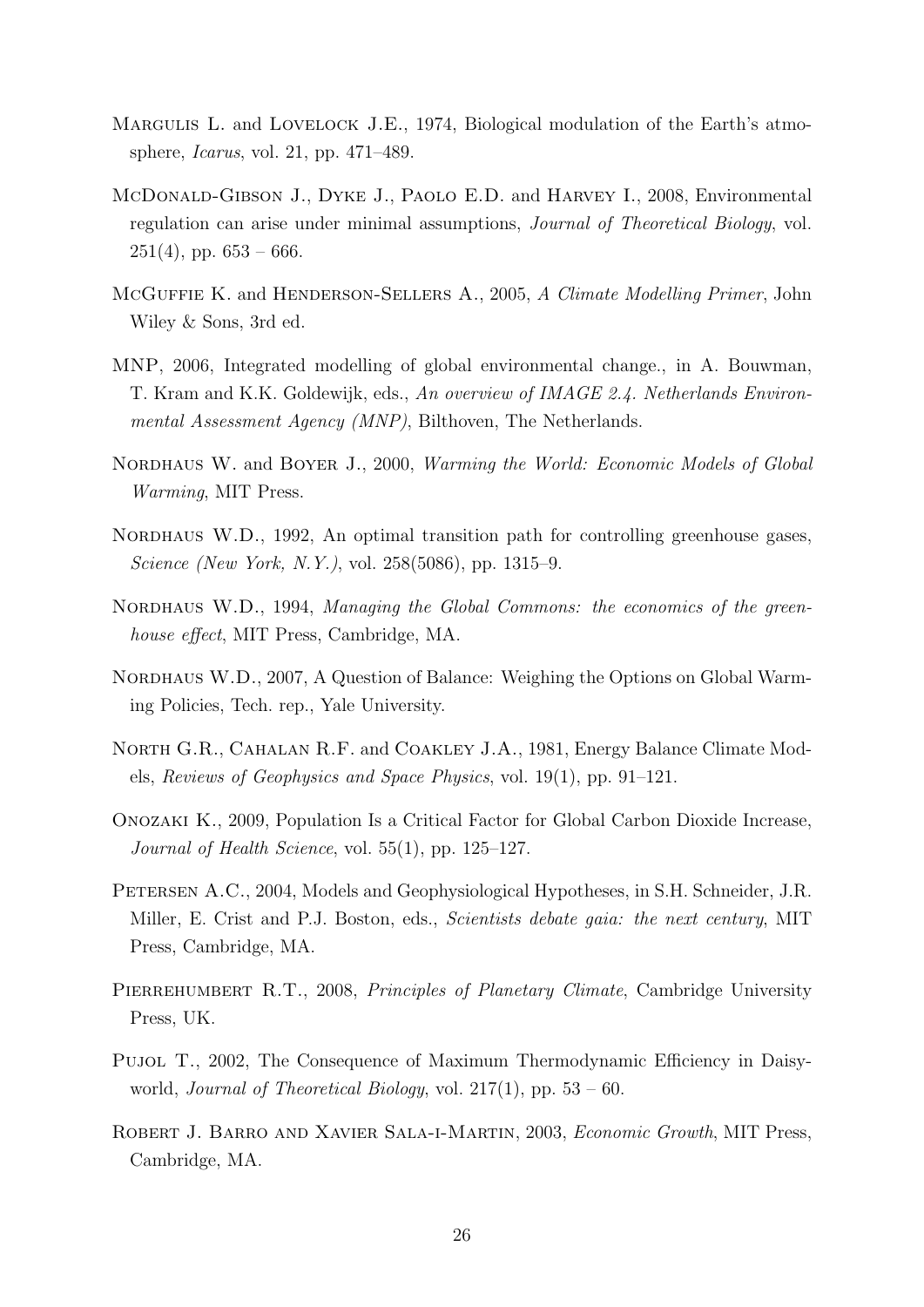- MARGULIS L. and LOVELOCK J.E., 1974, Biological modulation of the Earth's atmosphere, Icarus, vol. 21, pp. 471–489.
- McDonald-Gibson J., Dyke J., Paolo E.D. and Harvey I., 2008, Environmental regulation can arise under minimal assumptions, Journal of Theoretical Biology, vol.  $251(4)$ , pp.  $653 - 666$ .
- MCGUFFIE K. and HENDERSON-SELLERS A., 2005, A Climate Modelling Primer, John Wiley & Sons, 3rd ed.
- MNP, 2006, Integrated modelling of global environmental change., in A. Bouwman, T. Kram and K.K. Goldewijk, eds., An overview of IMAGE 2.4. Netherlands Environmental Assessment Agency (MNP), Bilthoven, The Netherlands.
- NORDHAUS W. and BOYER J., 2000, *Warming the World: Economic Models of Global* Warming, MIT Press.
- NORDHAUS W.D., 1992, An optimal transition path for controlling greenhouse gases. Science (New York, N.Y.), vol. 258(5086), pp. 1315–9.
- NORDHAUS W.D., 1994, Managing the Global Commons: the economics of the greenhouse effect, MIT Press, Cambridge, MA.
- NORDHAUS W.D., 2007, A Question of Balance: Weighing the Options on Global Warming Policies, Tech. rep., Yale University.
- NORTH G.R., CAHALAN R.F. and COAKLEY J.A., 1981, Energy Balance Climate Models, Reviews of Geophysics and Space Physics, vol. 19(1), pp. 91–121.
- Onozaki K., 2009, Population Is a Critical Factor for Global Carbon Dioxide Increase, Journal of Health Science, vol.  $55(1)$ , pp.  $125-127$ .
- PETERSEN A.C., 2004, Models and Geophysiological Hypotheses, in S.H. Schneider, J.R. Miller, E. Crist and P.J. Boston, eds., *Scientists debate gaia: the next century*, MIT Press, Cambridge, MA.
- PIERREHUMBERT R.T., 2008, Principles of Planetary Climate, Cambridge University Press, UK.
- Pujol T., 2002, The Consequence of Maximum Thermodynamic Efficiency in Daisyworld, Journal of Theoretical Biology, vol.  $217(1)$ , pp.  $53 - 60$ .
- Robert J. Barro and Xavier Sala-i-Martin, 2003, Economic Growth, MIT Press, Cambridge, MA.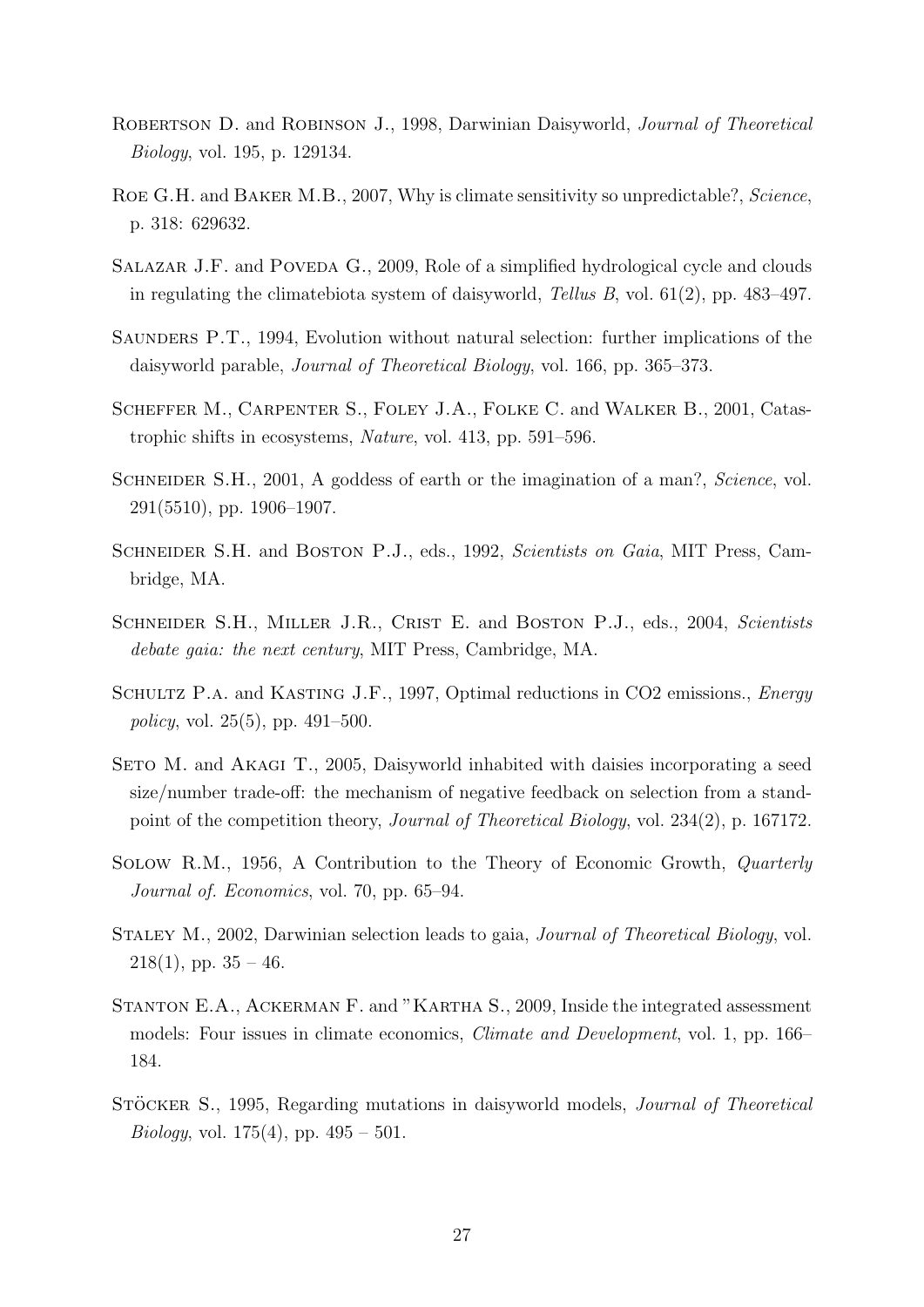- ROBERTSON D. and ROBINSON J., 1998, Darwinian Daisyworld, *Journal of Theoretical* Biology, vol. 195, p. 129134.
- ROE G.H. and BAKER M.B., 2007, Why is climate sensitivity so unpredictable?, Science, p. 318: 629632.
- SALAZAR J.F. and POVEDA G., 2009, Role of a simplified hydrological cycle and clouds in regulating the climatebiota system of daisyworld, Tellus B, vol. 61(2), pp. 483–497.
- Saunders P.T., 1994, Evolution without natural selection: further implications of the daisyworld parable, Journal of Theoretical Biology, vol. 166, pp. 365–373.
- Scheffer M., Carpenter S., Foley J.A., Folke C. and Walker B., 2001, Catastrophic shifts in ecosystems, Nature, vol. 413, pp. 591–596.
- SCHNEIDER S.H., 2001, A goddess of earth or the imagination of a man?, Science, vol. 291(5510), pp. 1906–1907.
- SCHNEIDER S.H. and BOSTON P.J., eds., 1992, Scientists on Gaia, MIT Press, Cambridge, MA.
- SCHNEIDER S.H., MILLER J.R., CRIST E. and BOSTON P.J., eds., 2004, Scientists debate gaia: the next century, MIT Press, Cambridge, MA.
- SCHULTZ P.A. and KASTING J.F., 1997, Optimal reductions in CO2 emissions., *Energy* policy, vol. 25(5), pp. 491–500.
- SETO M. and AKAGI T., 2005, Daisyworld inhabited with daisies incorporating a seed size/number trade-off: the mechanism of negative feedback on selection from a standpoint of the competition theory, Journal of Theoretical Biology, vol. 234(2), p. 167172.
- Solow R.M., 1956, A Contribution to the Theory of Economic Growth, Quarterly Journal of. Economics, vol. 70, pp. 65–94.
- STALEY M., 2002, Darwinian selection leads to gaia, *Journal of Theoretical Biology*, vol.  $218(1)$ , pp.  $35 - 46$ .
- Stanton E.A., Ackerman F. and "Kartha S., 2009, Inside the integrated assessment models: Four issues in climate economics, Climate and Development, vol. 1, pp. 166– 184.
- STÖCKER S., 1995, Regarding mutations in daisyworld models, *Journal of Theoretical* Biology, vol.  $175(4)$ , pp.  $495 - 501$ .